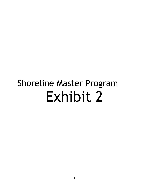# Shoreline Master Program Exhibit 2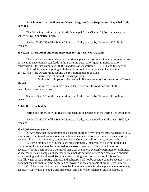## **Attachment A to the Shoreline Master Program Draft Regulations: Repealed Code Sections .**

The following sections of the Seattle Municipal Code, Chapter 23.60, are repealed as shown below in numerical order.

Section 23.60.023 of the Seattle Municipal Code, enacted by Ordinance 122198, is repealed.

#### **23.60.023 Intermittent and temporary uses for light rail construction.**

The Director may grant, deny or condition applications for intermittent or temporary uses not meeting development standards in the Shoreline District for light rail transit facility construction if the use complies with the standards of subsection 23.42.040 F and this section.

A. In addition to complying with the site restoration requirements of subSection 23.42.040 F 4 the Director may require the restoration plan to include:

1. Native vegetation in the landscape plan.

2. Mitigation of impacts to fish and wildlife as a result of stormwater runoff from the site.

3. No increase in impervious surface from the site condition prior to the intermittent or temporary use.

Section 23.60.080 of the Seattle Municipal Code, enacted by Ordinance 113466, is repealed.

#### **23.60.080 Fee schedule.**

Permit and other shoreline-related fees shall be as described in the Permit Fee Ordinance.

Section 23.60.092 of the Seattle Municipal Code, last amended by Ordinance 119929, is repealed.

#### **23.60.092 Accessory uses.**

A. Any principal use permitted in a specific shoreline environment either outright, or as a special use, conditional use or Council conditional use shall also be permitted as an accessory use outright or as a special use, conditional use or Council conditional use, respectively.

B. Uses prohibited as principal uses but customarily incidental to a use permitted in a shoreline environment may be permitted as accessory uses only if clearly incidental and necessary for the operation of a permitted principal use unless expressly permitted or prohibited as accessory uses. Examples of accessory uses include parking, offices and caretaker's quarters not exceeding eight hundred (800) square feet in living area. For purposes of this section, landfill, water-based airports, heliports and helistops shall not be considered to be accessory to a principal use and shall only be permitted as provided in the applicable shoreline environment.

C. Unless specifically stated otherwise in the regulations for the applicable environment, accessory uses which are non-water-dependent and non-water-related, even if accessory to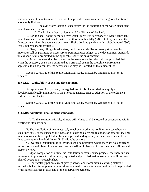water-dependent or water-related uses, shall be permitted over water according to subsection A above only if either:

1. The over-water location is necessary for the operation of the water-dependent or water-related use; or

2. The lot has a depth of less than fifty (50) feet of dry land.

D. Parking shall not be permitted over water unless it is accessory to a water-dependent or water-related use located on a lot with a depth of less than fifty (50) feet of dry land and the Director determines that adequate on-site or off-site dry land parking within eight hundred (800) feet is not reasonably available.

E. Piers, floats, pilings, breakwaters, drydocks and similar accessory structures for moorage shall be permitted as accessory to permitted uses subject to the development standards unless specifically prohibited in the applicable shoreline environment.

F. Accessory uses shall be located on the same lot as the principal use; provided that when the accessory use is also permitted as a principal use in the shoreline environment applicable to an adjacent lot, the accessory use may be located on that adjacent lot.

Section 23.60.120 of the Seattle Municipal Code, enacted by Ordinance 113466, is repealed.

## **23.60.120 Applicability to existing development.**

Except as specifically stated, the regulations of this chapter shall not apply to developments legally undertaken in the Shoreline District prior to adoption of the ordinance codified in this chapter.

Section 23.60.192 of the Seattle Municipal Code, enacted by Ordinance 113466, is repealed.

#### **23.60.192 Additional development standards.**

A. To the extent practicable, all new utility lines shall be located or constructed within existing utility corridors.

B. The installation of new electrical, telephone or other utility lines in areas where no such lines exist, or the substantial expansion of existing electrical, telephone or other utility lines in all environments except UI shall be accomplished underground, or under water, except for lines carrying one hundred fifteen (115) kilovolts or more.

C. Overhead installation of utility lines shall be permitted where there are no significant impacts on upland views. Location and design shall minimize visibility of overhead utilities and preserve views.

D. Upon completion of utility line installation or maintenance projects, the shoreline shall be restored to preproject configuration, replanted and provided maintenance care until the newly planted vegetation is reestablished.

E. Underwater pipelines except gravity sewers and storm drains, carrying materials intrinsically harmful or potentially injurious to aquatic life and/or water quality shall be provided with shutoff facilities at each end of the underwater segments.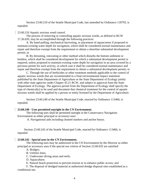Section 23.60.210 of the Seattle Municipal Code, last amended by Ordinance 118793, is repealed.

#### 23.60.210 Aquatic noxious weed control.

The process of removing or controlling aquatic noxious weeds, as defined in RCW 17.26.020, may be accomplished through the following practices:

A. By hand-pulling, mechanical harvesting, or placement of aquascreens if proposed to maintain existing water depth for navigation, which shall be considered normal maintenance and repair and therefore exempt from the requirement to obtain a shoreline substantial development permit; or

B. By derooting, rotovating or other method which disturbs the bottom sediment or benthos, which shall be considered development for which a substantial development permit is required, unless proposed to maintain existing water depth for navigation in an area covered by a previous permit for such activity, in which case it shall be considered normal maintenance and repair and therefore exempt from the requirement to obtain a substantial development permit; or

C. Through the use of herbicides or other treatment methods applicable to the control of aquatic noxious weeds that are recommended in a final environmental impact statement published by the State Department of Agriculture or the State Department of Ecology jointly with other state agencies under Chapter 43.21 RCW, and subject to approval from the State Department of Ecology. The approve permit from the Department of Ecology shall specify the type of chemical(s) to be used and document that chemical treatment for the control of aquatic noxious weeds shall be applied by a person or entity licensed by the Department of Agriculture.

Section 23.60.240 of the Seattle Municipal Code, enacted by Ordinance 113466, is repealed.

#### **23.60.240 - Uses permitted outright in the CN Environment.**

The following uses shall be permitted outright in the Conservancy Navigation Environment as either principal or accessory uses:

A. Navigational aids including channel markers and anchor buoys.

Section 23.60.242 of the Seattle Municipal Code, enacted by Ordinance 113466, is repealed.

#### **23.60.242 - Special uses in the CN Environment.**

The following uses may be authorized in the CN Environment by the Director as either principal or accessory uses if the special use criteria of Section 23.60.032 are satisfied:

A. Bridges;

B. Utilities lines;

C. Underwater diving areas and reefs;

D. Aquaculture;

E. Natural beach protection to prevent erosion or to enhance public access; and

F. The disposal of dredged material at authorized dredge disposal sites established as a conditional use.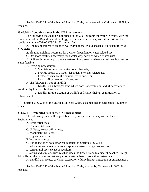Section 23.60.244 of the Seattle Municipal Code, last amended by Ordinance 118793, is repealed.

## **23.60.244 - Conditional uses in the CN Environment.**

The following uses may be authorized in the CN Environment by the Director, with the concurrence of the Department of Ecology, as principal or accessory uses if the criteria for conditional uses of WAC 173-27-160 are satisfied:

A. The establishment of an open-water dredge material disposal site pursuant to WAC 332-30-166;

B. Floating dolphins necessary for a water-dependent or water-related use;

C. Off-shore facilities necessary for a water-dependent or water-related use;

D. Bulkheads necessary to prevent extraordinary erosion where natural beach protection is not feasible;

E. Dredging necessary to:

1. Maintain or improve navigational channels,

2. Provide access to a water-dependent or water-related use,

3. Protect or enhance the natural environment, or

4. Install utility lines and bridges; and

F. The following types of landfill:

1. Landfill on submerged land which does not create dry land, if necessary to install utility lines and bridges; and

2. Landfill for the creation of wildlife or fisheries habitat as mitigation or enhancement.

Section 23.60.246 of the Seattle Municipal Code, last amended by Ordinance 122310, is repealed.

## **[23.60.246](javascript:void(0)) - Prohibited uses in the CN Environment.**

The following uses shall be prohibited as principal or accessory uses in the CN Environment:

A. Residential uses;

- B. Commercial uses;
- C. Utilities, except utility lines;
- D. Manufacturing uses;
- E. High-impact uses;
- F. Institutional uses;

G. Public facilities not authorized pursuant to Section 23.60.248;

H. All shoreline recreation uses except underwater diving areas and reefs;

I. Agricultural uses except aquaculture;

J. Groins and similar structures that block the flow of sand to adjacent beaches, except drift sills or other structures that are part of a natural beach protection system; and

K. Landfill that creates dry land, except for wildlife habitat mitigation or enhancement.

Section 23.60.248 of the Seattle Municipal Code, enacted by Ordinance 118663, is repealed.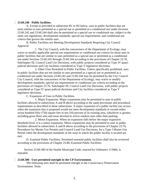#### **23.60.248 - Public facilities.**

A. Except as provided in subsection B1 or B2 below, uses in public facilities that are most similar to uses permitted as a special use or permitted as a conditional use under Sections 23.60.242 and 23.60.244 shall also be permitted as a special use or conditional use, subject to the same use regulations, development standards, special use requirements, and conditional use criteria that govern the similar uses.

B. Public Facilities not Meeting Development Standards Requiring City Council Approval.

1. The City Council, with the concurrence of the Department of Ecology, may waive or modify applicable special use requirements or conditional use criteria for those uses in public facilities that are similar to uses permitted as a special use or permitted as a conditional use under Sections 23.60.242 through 23.60.244 according to the provisions of Chapter 23.76, Subchapter III, Council Land Use Decisions, with public projects considered as Type IV quasijudicial decisions and City facilities considered as Type V legislative decisions.

2. Other Uses Permitted in Public Facilities. Unless specifically prohibited, uses in public facilities that are not similar to uses permitted as a special use or permitted as a conditional use under Sections 23.60.242 and 23.60.244 may be permitted by the City Council. City Council, with the concurrence of the Department of Ecology, may waive or modify development standards, special use requirements or conditional use criteria according to the provisions of Chapter 23.76, Subchapter III, Council Land Use Decisions, with public projects considered as Type IV quasi-judicial decisions and City facilities considered as Type V legislative decisions.

C. Expansion of Uses in Public Facilities.

1. Major Expansion. Major expansions may be permitted to uses in public facilities allowed in subsections A and B above according to the same provisions and procedural requirements as described in these subsections. A major expansion of a public facility use occurs when the expansion that is proposed would not meet development standards or exceed either seven hundred fifty (750) square feet or ten (10) percent of its existing area, whichever is greater, including gross floor area and areas devoted to active outdoor uses other than parking.

2. Minor Expansion. When an expansion falls below the major expansion threshold level, it is a minor expansion. Minor expansions may be permitted to uses in public facilities allowed in subsections A and B above according to the provisions of Chapter 23.76, Procedures for Master Use Permits and Council Land Use Decisions, for a Type I Master Use Permit when the development standards of the zone in which the public facility is located are met.

D. Essential Public Facilities. Permitted essential public facilities shall also be reviewed according to the provisions of Chapter 23.80, Essential Public Facilities.

Section 23.60.300 of the Seattle Municipal Code, enacted by Ordinance 113466, is repealed.

#### **23.60.300 - Uses permitted outright in the CP Environment.**

The following uses shall be permitted outright in the Conservancy Preservation Environment: None.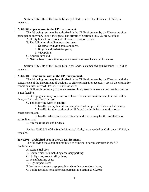Section 23.60.302 of the Seattle Municipal Code, enacted by Ordinance 113466, is repealed.

## **23.60.302 - Special uses in the CP Environment.**

The following uses may be authorized in the CP Environment by the Director as either principal or accessory uses if the special use criteria of Section 23.60.032 are satisfied:

A. Utility lines if no reasonable alternative location exists;

B. The following shoreline recreation uses:

1. Underwater diving areas and reefs,

2. Bicycle and pedestrian paths,

3. Viewpoints;

C. Aquaculture; and

D. Natural beach protection to prevent erosion or to enhance public access.

Section 23.60.304 of the Seattle Municipal Code, last amended by Ordinance 118793, is repealed.

## **23.60.304 - Conditional uses in the CP Environment.**

The following uses may be authorized in the CP Environment by the Director, with the concurrence of the Department of Ecology, as either principal or accessory uses if the criteria for conditional uses of WAC 173-27-160 are satisfied;

A. Bulkheads necessary to prevent extraordinary erosion where natural beach protection is not feasible;

B. Dredging necessary to protect or enhance the natural environment, to install utility lines, or for navigational access;

C. The following types of landfill:

1. Landfill on dry land if necessary to construct permitted uses and structures,

2. Landfill for the creation of wildlife or fisheries habitat as mitigation or enhancement, and

3. Landfill which does not create dry land if necessary for the installation of utility lines; and

D. Streets, railroads and bridges.

Section 23.60.306 of the Seattle Municipal Code, last amended by Ordinance 122310, is repealed.

## **23.60.306 - Prohibited uses in the CP Environment.**

The following uses shall be prohibited as principal or accessory uses in the CP Environment:

A. Residential uses;

B. Commercial uses including accessory parking;

C. Utility uses, except utility lines;

D. Manufacturing uses;

E. High-impact uses;

F. Institutional uses except permitted shoreline recreational uses;

G. Public facilities not authorized pursuant to Section 23.60.308;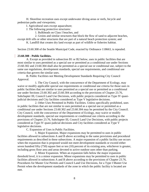H. Shoreline recreation uses except underwater diving areas or reefs, bicycle and pedestrian paths and viewpoints;

I. Agricultural uses except aquaculture;

J. The following protective structures:

1. Bulkheads on Class I beaches, and

2. Groins and similar structures that block the flow of sand to adjacent beaches,

except drift sills or other structures that are part of a natural beach protection system; and

K. Landfill that creates dry land except as part of wildlife or fisheries habitat.

Section 23.60.308 of the Seattle Municipal Code, enacted by Ordinance 118663, is repealed.

## **23.60.308 - Public facilities.**

A. Except as provided in subsection B1 or B2 below, uses in public facilities that are most similar to uses permitted as a special use or permitted as a conditional use under Sections 23.60.302 and 23.60.304 shall also be permitted as a special use or conditional use, subject to the same use regulations, development standards, special use requirements, and conditional use criteria that govern the similar uses.

B. Public Facilities not Meeting Development Standards Requiring City Council Approval.

1. The City Council, with the concurrence of the Department of Ecology, may waive or modify applicable special use requirements or conditional use criteria for those uses in public facilities that are similar to uses permitted as a special use or permitted as a conditional use under Sections 23.60.302 and 23.60.304 according to the provisions of Chapter 23.76, Subchapter III, Council Land Use Decisions, with public projects considered as Type IV quasijudicial decisions and City facilities considered as Type V legislative decisions.

2. Other Uses Permitted in Public Facilities. Unless specifically prohibited, uses in public facilities that are not similar to uses permitted as a special use or permitted as a conditional use under Sections 23.60.302 and 23.60.304 may be permitted by the City Council. City Council, with the concurrence of the Department of Ecology, may waive or modify development standards, special use requirements or conditional use criteria according to the provisions of Chapter 23.76, Subchapter III, Council Land Use Decisions, with public projects considered as Type IV quasi-judicial decisions and City facilities considered as Type V legislative decisions.

C. Expansion of Uses in Public Facilities.

1. Major Expansion. Major expansions may be permitted to uses in public facilities allowed in subsections A and B above according to the same provisions and procedural requirements as described in these subsections. A major expansion of a public facility use occurs when the expansion that is proposed would not meet development standards or exceed either seven hundred fifty (750) square feet or ten (10) percent of its existing area, whichever is greater, including gross floor area and areas devoted to active outdoor uses other than parking.

2. Minor Expansion. When an expansion falls below the major expansion threshold level, it is a minor expansion. Minor expansions may be permitted to uses in public facilities allowed in subsections A and B above according to the provisions of Chapter 23.76, Procedures for Master Use Permits and Council Land Use Decisions, for a Type I Master Use Permit when the development standards of the zone in which the public facility is located are met.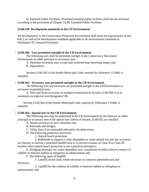D. Essential Public Facilities. Permitted essential public facilities shall also be reviewed according to the provisions of Chapter 23.80, Essential Public Facilities.

## **23.60.330 Development standards in the CP Environment.**

All developments in the Conservancy Protection Environment shall meet the requirements of this Part 2 as well as the development standards applicable to all environments contained in Subchapter III, General Provisions.

## **23.60.360 - Uses permitted outright in the CR Environment.**

The following uses shall be permitted outright in the Conservancy Recreation Environment as either principal or accessory uses:

A. Shoreline recreation uses except auto-trailered boat launching ramps; and

B. Aquaculture.

Section 23.60.362 of the Seattle Municipal Code, enacted by Ordinance 113466, is repealed.

## **23.60.362 - Accessory uses permitted outright in the CR Environment.**

The following uses and structures are permitted outright in the CR Environment as accessory to permitted uses:

A. Piers and floats accessory to residences permitted by Section 23.60.360 A or to residences on adjacent land designated UR.

Section 23.60.364 of the Seattle Municipal Code, enacted by Ordinance 113466, is repealed.

# **[23.60.364](javascript:void(0)) - Special uses in the CR Environment.**

The following uses may be authorized in the CR Environment by the Director as either principal or accessory uses if the special use criteria of Section 23.60.032 are satisfied:

A. Streets necessary to serve shoreline lots;

B. Railroads and bridges;

C. Utility lines if no reasonable alternative location exists;

D. The following protective structures:

1. Natural beach protection,

2. Bulkheads to support a water-dependent or water-related use and any accessory use thereto, to enclose a permitted landfill area or to prevent erosion on Class II or Class III beaches when natural beach protection is not a practical alternative;

E. Dredging necessary for water-dependent uses, installation of utility lines or creation of wildlife or fisheries habitat as mitigation or enhancement; and

F. The following types of landfill:

1. Landfill on dry land, where necessary to construct permitted uses and structures,

2. Landfill for the creation of wildlife or fisheries habitat as mitigation or enhancement, and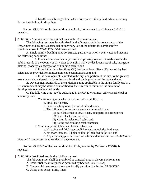3. Landfill on submerged land which does not create dry land, where necessary for the installation of utility lines.

Section 23.60.365 of the Seattle Municipal Code, last amended by Ordinance 122310, is repealed.

23.60.365 - Administrative conditional uses in the CR Environment.

The following uses may be authorized by the Director, with the concurrence of the Department of Ecology, as principal or accessory use, if the criteria for administrative conditional uses in WAC 173-27-160 are satisfied:

A. Single-family dwelling units constructed partially or wholly over water and meeting the following conditions:

1. If located on a residentially zoned and privately owned lot established in the public records of the County or City prior to March 1, 1977 by deed, contract of sale, mortgage, platting, property tax segregation or building permit; and

2. If the lot has less than thirty (30) feet but at least fifteen (15) feet of dry land calculated as provided for in measurements Section 23.60.956; and

3. If the development is limited to the dry-land portion of the site, to the greatest extent possible, and particularly to the most level and stable portions of the dry-land area.

B. Development standards of the underlying zone applicable to the single-family use in a CR environment may be waived or modified by the Director to minimize the amount of development over submerged lands.

C. The following uses may be authorized in the CR Environment either as principal or accessory uses:

1. The following uses when associated with a public park:

- a. Small craft center,
- b. Boat launching ramp for auto-trailered boats,

c. The following non-water-dependent commercial uses:

(1) Sale and rental of small boats, boat parts and accessories,

- (2) General sales and services,
- (3) Major durables retail sales, and
- (4) Eating and drinking establishments;
- 2. Community yacht, boat and beach clubs when:
	- a. No eating and drinking establishments are included in the use,
	- b. No more than one (1) pier or float is included in the use, and
	- c. Any accessory pier or float meets the standards of Section 23.60.204 for

piers and floats accessory to residential development.

Section 23.60.368 of the Seattle Municipal Code, enacted by Ordinance 122310, is repealed.

23.60.368 - Prohibited uses in the CR Environment.

The following uses shall be prohibited as principal uses in the CR Environment:

A. Residential uses except those permitted by Section 23.60.365 A;

- B. Commercial uses except those specifically permitted by Section 23.60.365 C;
- C. Utility uses except utility lines;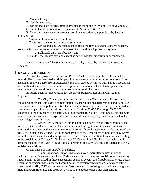D. Manufacturing uses;

E. High-impact uses;

F. Institutional uses except community clubs meeting the criteria of Section 23.60.365 C;

G. Public facilities not authorized pursuant to Section 23.60.370;

H. Parks and open space uses except shoreline recreation uses permitted by Section 23.60.360 A;

I. Agricultural uses except aquaculture;

J. The following shoreline protective structures:

1. Groins and similar structures that block the flow of sand to adjacent beaches, except drift sills or other structures that are part of a natural beach protection system, and

2. Bulkheads on Class I beaches; and

K. Landfill that creates dry land except as part of habitat mitigation or enhancement.

Section 23.60.370 of the Seattle Municipal Code, enacted by Ordinance 118663, is repealed.

# **23.60.370 - Public facilities.**

A. Except as provided in subsection B1 or B2 below, uses in public facilities that are most similar to uses permitted outright, permitted as a special use or permitted as a conditional use under Sections 23.60.360 through 23.60.365 shall also be permitted outright, as a special use or conditional use, subject to the same use regulations, development standards, special use requirements, and conditional use criteria that govern the similar uses.

B. Public Facilities not Meeting Development Standards Requiring City Council Approval.

1. The City Council, with the concurrence of the Department of Ecology, may waive or modify applicable development standards, special use requirements or conditional use criteria for those uses in public facilities that are similar to uses permitted outright, permitted as a special use or permitted as a conditional use under Sections 23.60.360 through 23.60.365 according to the provisions of Chapter 23.76, Subchapter III, Council Land Use Decisions, with public projects considered as Type IV quasi-judicial decisions and City facilities considered as Type V legislative decisions.

2. Other Uses Permitted in Public Facilities. Unless specifically prohibited, uses in public facilities that are not similar to uses permitted outright, permitted as a special use or permitted as a conditional use under Sections 23.60.364 through 23.60.365 may be permitted by the City Council. City Council, with the concurrence of the Department of Ecology, may waive or modify development standards, special use requirements or conditional use criteria according to the provisions of Chapter 23.76, Subchapter III, Council Land Use Decisions, with public projects considered as Type IV quasi-judicial decisions and City facilities considered as Type V legislative decisions.

C. Expansion of Uses in Public Facilities.

1. Major Expansion. Major expansions may be permitted to uses in public facilities allowed in subsections A and B above according to the same provisions and procedural requirements as described in these subsections. A major expansion of a public facility use occurs when the expansion that is proposed would not meet development standards or exceed either seven hundred fifty (750) square feet or ten (10) percent of its existing area, whichever is greater, including gross floor area and areas devoted to active outdoor uses other than parking.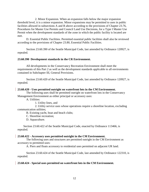2. Minor Expansion. When an expansion falls below the major expansion threshold level, it is a minor expansion. Minor expansions may be permitted to uses in public facilities allowed in subsections A and B above according to the provisions of Chapter 23.76, Procedures for Master Use Permits and Council Land Use Decisions, for a Type I Master Use Permit when the development standards of the zone in which the public facility is located are met.

D. Essential Public Facilities. Permitted essential public facilities shall also be reviewed according to the provisions of Chapter 23.80, Essential Public Facilities.

Section 23.60.390 of the Seattle Municipal Code, last amended by Ordinance 120927, is repealed.

#### **23.60.390 Development standards in the CR Environment.**

All developments in the Conservancy Recreation Environment shall meet the requirements of this Part 2 as well as the development standards applicable to all environments contained in Subchapter III, General Provisions.

Section 23.60.420 of the Seattle Municipal Code, last amended by Ordinance 120927, is repealed.

#### **[23.60.420](javascript:void(0)) - Uses permitted outright on waterfront lots in the CM Environment.**

The following uses shall be permitted outright on waterfront lots in the Conservancy Management Environment as either principal or accessory uses:

A. Utilities:

1. Utility lines, and

2. Utility service uses whose operations require a shoreline location, excluding communication utilities;

B. Existing yacht, boat and beach clubs;

C. Shoreline recreation;

D. Aquaculture.

Section 23.60.422 of the Seattle Municipal Code, enacted by Ordinance 113466, is repealed.

#### **23.60.422 - Accessory uses permitted outright in the CM Environment.**

The following uses and structures are permitted outright in the CM Environment as accessory to permitted uses:

A. Piers and floats accessory to residential uses permitted on adjacent UR land.

Section 23.60.424 of the Seattle Municipal Code, last amended by Ordinance 122310, is repealed.

## **23.60.424 - Special uses permitted on waterfront lots in the CM Environment.**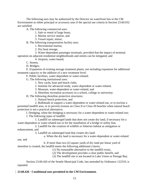The following uses may be authorized by the Director on waterfront lots in the CM Environment as either principal or accessory uses if the special use criteria in Section 23.60.032 are satisfied:

A. The following commercial uses:

1. Sale or rental of large boats,

2. Marine service station, and

3. Vessel repair, minor;

B. The following transportation facility uses:

1. Recreational marina,

2. Dry boat storage,

3. Water-dependent passenger terminals, provided that the impact of terminal operation on adjacent residential neighborhoods and streets can be mitigated, and

4. Airports, water-based;

C. Streets;

D. Bridges;

E. Expansion of existing sewage treatment plants, not including expansion for additional treatment capacity or the addition of a new treatment level;

F. Public facilities, water-dependent or water-related;

G. The following institutional uses:

1. New yacht, boat and beach clubs,

2. Institute for advanced study, water-dependent or water-related,

3. Museum, water-dependent or water-related, and

4. Shoreline recreation accessory to a school, college or university;

H. The following shoreline protective structures:

1. Natural beach protection, and

2. Bulkheads to support a water-dependent or water-related use, or to enclose a permitted landfill area, or to prevent erosion on Class II or Class III beaches when natural beach

protection is not a practical alternative;

I. Dredging, when the dredging is necessary for a water-dependent or water-related use;

J. The following types of landfill:

1. Landfill on submerged lands that does not create dry land, if necessary for a water-dependent or water-related use or for the installation of a bridge or utility line,

2. Landfill for the creation of wildlife or fisheries habitat as mitigation or enhancement, and

3. Landfill on submerged land that creates dry land:

a. When the dry land is necessary for a water-dependent or water-related

use, and

b. If more than two (2) square yards of dry land per linear yard of shoreline is created, the landfill meets the following additional criteria:

(1) No reasonable alternative to the landfill exists,

(2) The development provides a clear public benefit, and

(3) The landfill site is not located in Lake Union or Portage Bay.

Section 23.60.426 of the Seattle Municipal Code, last amended by Ordinance 122310, is repealed.

# **23.60.426 - Conditional uses permitted in the CM Environment.**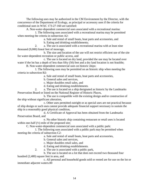The following uses may be authorized in the CM Environment by the Director, with the concurrence of the Department of Ecology, as principal or accessory uses if the criteria for conditional uses in WAC 173-27-160 are satisfied:

A. Non-water-dependent commercial uses associated with a recreational marina:

1. The following uses associated with a recreational marina may be permitted when meeting the criteria in subsection A2:

a. Sale and rental of small boats, boat parts and accessories, and

b. Eating and drinking establishments;

2. a. The use is associated with a recreational marina with at least nine thousand (9,000) lineal feet of moorage,

b. The size and location of the use will not restrict efficient use of the site for water-dependent recreation or public access, and

c. The use is located on dry land, provided the use may be located over water if the lot has a depth of less than fifty (50) feet and a dry land location is not feasible;

B. Non-water-dependent commercial uses on historic ships:

1. The following uses may be permitted on an historic ship when meeting the criteria in subsection B2:

a. Sale and rental of small boats, boat parts and accessories,

b. General sales and services,

c. Major durables retail sales, and

d. Eating and drinking establishments.

2. a. The use is located on a ship designated as historic by the Landmarks Preservation Board or listed on the National Register of Historic Places,

b. The use is compatible with the existing design and/or construction of the ship without significant alteration,

c. Other uses permitted outright or as special uses are not practical because of ship design or such uses cannot provide adequate financial support necessary to sustain the ship in a reasonably good physical condition,

d. A Certificate of Approval has been obtained from the Landmarks Preservation Board, and

e. No other historic ship containing restaurant or retail uses is located within one-half  $(\frac{1}{2})$  mile of the proposed site;

C. Non-water-dependent commercial uses associated with a public park:

1. The following uses associated with a public park may be permitted when meeting the criteria of subsection C2:

a. Sale and rental of small boats, boat parts and accessories,

b. General sales and services,

c. Major durables retail sales, and

d. Eating and drinking establishments.

2. a. The use is associated with a public park,

b. The use is located on a lot that does not exceed two thousand four hundred (2,400) square feet in area, and

c. All personal and household goods sold or rented are for use on the lot or immediate adjacent waters.00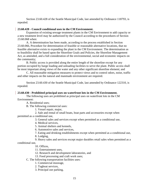Section 23.60.428 of the Seattle Municipal Code, last amended by Ordinance 118793, is repealed.

## **23.60.428 - Council conditional uses in the CM Environment.**

Expansion of existing sewage treatment plants in the CM Environment to add capacity or a new treatment level may be authorized by the Council according to the procedures of Section 23.60.068 when:

A. A determination has been made, according to the process established in Section 23.60.066, Procedure for determination of feasible or reasonable alternative locations, that no feasible alternative exists to expanding the plant in the CM Environment. The determination as to feasibility shall be based upon the Shoreline Goals and Policies, the Shoreline Management Act, as amended, and a full consideration of the environmental, social and economic impacts on the community;

B. Public access is provided along the entire length of the shoreline except for any portion occupied by barge loading and unloading facilities to serve the plant. Public access shall be most important along views of the water and any other significant shoreline element; and

C. All reasonable mitigation measures to protect views and to control odors, noise, traffic and other impacts on the natural and manmade environment are required.

Section 23.60.430 of the Seattle Municipal Code, last amended by Ordinance 122310, is repealed.

## **23.60.430 - Prohibited principal uses on waterfront lots in the CM Environment.**

The following uses are prohibited as principal uses on waterfront lots in the CM Environment:

A. Residential uses;

B. The following commercial uses:

1. Vessel repair, major,

2. Sale and rental of small boats, boat parts and accessories except when permitted as a conditional use,

3. General sales and services except when permitted as a conditional use,

4. Medical services,

5. Animal shelters and kennels,

6. Automotive sales and services,

7. Eating and drinking establishments except when permitted as a conditional use,

8. Lodging,

9. Heavy sales and services except major durables retail sales when permitted as a

conditional use,

10. Offices,

11. Entertainment uses,

12. Research and development laboratories, and

13. Food processing and craft work uses;

C. The following transportation facilities uses:

1. Commercial moorage,

2. Tugboat services,

3. Principal use parking,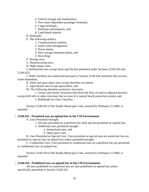- 4. Vehicle storage and maintenance,
- 5. Non-water-dependent passenger terminals,
- 6. Cargo terminals,
- 7. Helistops and heliports, and
- 8. Land-based airports;

D. Railroads;

E. The following utilities:

- 1. Communication utilities,
- 2. Solid waste management,
- 3. Power plants,
- 4. New sewage treatment plants, and
- 5. Recycling;

F. Storage uses;

G. Manufacturing uses;

H. High-impact uses;

I. Institutional uses except those specifically permitted under Sections 23.60.420 and 23.60.422;

J. Public facilities not authorized pursuant to Section 23.60.436 and those that are nonwater-dependent;

K. Parks and open space uses except shoreline recreation;

L. Agricultural uses except aquaculture; and

M. The following shoreline protective structures:

1. Groins and similar structures that block the flow of sand to adjacent beaches,

except drift sills or other structures that are part of a natural beach protection system, and 2. Bulkheads on Class I beaches.

Section 23.60.432 of the Seattle Municipal Code, enacted by Ordinance 113466, is repealed.

# **23.60.432 - Permitted uses on upland lots in the CM Environment.**

A. Uses Permitted Outright.

1. All uses permitted on waterfront lots shall also be permitted on upland lots;

- 2. Additional uses permitted outright:
	- a. Institutional uses, and
	- b. Open space uses.

B. Uses Permitted as Special Uses. Uses permitted as special uses on waterfront lots are permitted as special uses on upland lots unless permitted outright.

C. Conditional Uses. Uses permitted as conditional uses on waterfront lots are permitted as conditional uses on upland lots.

Section 23.60.434 of the Seattle Municipal Code, enacted by Ordinance 113466, is repealed.

# **23.60.434 - Prohibited uses on upland lots in the CM Environment.**

All uses prohibited on waterfront lots are also prohibited on upland lots unless specifically permitted in Section 23.60.432.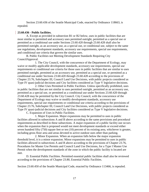Section 23.60.436 of the Seattle Municipal Code, enacted by Ordinance 118663, is repealed.

## **23.60.436 - Public facilities.**

A. Except as provided in subsection B1 or B2 below, uses in public facilities that are most similar to permitted and accessory uses permitted outright, permitted as a special use or permitted as a conditional use under Sections 23.60.420 through 23.60.428 shall also be permitted outright, as an accessory use, as a special use, or conditional use, subject to the same use regulations, development standards, accessory use requirements, special use requirements, and conditional use criteria that govern the similar uses.

B. Public Facilities not Meeting Development Standards Requiring City CouncilApproval.

1. The City Council, with the concurrence of the Department of Ecology, may waive or modify applicable development standards, accessory use requirements, special use requirements or conditional use criteria for those uses in public facilities that are similar to uses permitted outright, permitted as an accessory use, permitted as a special use, or permitted as a conditional use under Sections 23.60.420 through 23.60.428 according to the provisions of Chapter 23.76, Subchapter III, Council Land Use Decisions, with public projects considered as Type IV quasi-judicial decisions and City facilities considered as Type V legislative decisions.

2. Other Uses Permitted in Public Facilities. Unless specifically prohibited, uses in public facilities that are not similar to uses permitted outright, permitted as an accessory use, permitted as a special use, or permitted as a conditional use under Sections 23.60.420 through 23.60.428 may be permitted by the City Council. City Council, with the concurrence of the Department of Ecology may waive or modify development standards, accessory use requirements, special use requirements or conditional use criteria according to the provisions of Chapter 23.76, Subchapter III, Council Land Use Decisions, with public projects considered as Type IV quasi-judicial decisions and City facilities considered as Type V legislative decisions. C. Expansion of Uses in Public Facilities.

1. Major Expansion. Major expansions may be permitted to uses in public facilities allowed in subsections A and B above according to the same provisions and procedural requirements as described in these subsections. A major expansion of a public facility use occurs when the expansion that is proposed would not meet development standards or exceed either seven hundred fifty (750) square feet or ten (10) percent of its existing area, whichever is greater,

including gross floor area and areas devoted to active outdoor uses other than parking. 2. Minor Expansion. When an expansion falls below the major expansion threshold level, it is a minor expansion. Minor expansions may be permitted to uses in public facilities allowed in subsections A and B above according to the provisions of Chapter 23.76, Procedures for Master Use Permits and Council Land Use Decisions, for a Type I Master Use Permit when the development standards of the zone in which the public facility is located are met.

D. Essential Public Facilities. Permitted essential public facilities shall also be reviewed according to the provisions of Chapter 23.80, Essential Public Facilities.

Section 23.60.450 of the Seattle Municipal Code, enacted by Ordinance 113466, is repealed.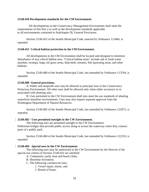#### **23.60.450 Development standards for the CM Environment.**

All developments in the Conservancy Management Environment shall meet the requirements of this Part 2 as well as the development standards applicable to all environments contained in Subchapter III, General Provisions.

Section 23.60.452 of the Seattle Municipal Code, enacted by Ordinance 113466, is repealed.

#### **23.60.452 Critical habitat protection in the CM Environment.**

All developments in the CM Environment shall be located and designed to minimize disturbance of any critical habitat area. "Critical habitat areas" include salt or fresh water marshes, swamps, bogs, eel grass areas, kelp beds, streams, fish spawning areas, and other habitats.

Section 23.60.480 of the Seattle Municipal Code, last amended by Ordinance 113764, is repealed.

#### **23.60.480 General provisions.**

A. Public and nonprofit uses may be allowed as principal uses in the Conservancy Waterway Environment. All other uses shall be allowed only when either accessory to or associated with abutting uses.

B. Uses permitted in the CW Environment shall also meet the use standards of abutting waterfront shoreline environments. Uses may also require separate approval from the Washington Department of Natural Resources.

Section 23.60.482 of the Seattle Municipal Code, last amended by Ordinance 122072, is repealed.

#### **23.60.482 - Uses permitted outright in the CW Environment.**

The following uses are permitted outright in the CW Environment: Pedestrian bridges that provide public access along or across the waterway when they connect parts of a public park.

Section 23.60.484 of the Seattle Municipal Code, last amended by Ordinance 122310, is repealed.

#### **23.60.484 - Special uses in the CW Environment.**

The following uses may be authorized in the CW Environment by the Director if the special use criteria of Section 23.60.032 are satisfied:

A. Community yacht, boat and beach clubs;

- B. Shoreline recreation;
- C. The following commercial uses:
	- 1. Vessel repair, minor, and
	- 2. Rental of boats;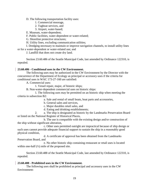D. The following transportation facility uses:

- 1. Commercial moorage,
- 2. Tugboat services, and
- 3. Airport, water-based;

E. Museum, water-dependent;

F. Public facilities, water-dependent or water-related;

G. Shoreline protective structures;

H. Utility lines, excluding communication utilities;

I. Dredging necessary to maintain or improve navigation channels, to install utility lines or for a water-dependent or water-related use; and

J. Landfill that does not create dry land.

Section 23.60.486 of the Seattle Municipal Code, last amended by Ordinance 122310, is repealed.

## **23.60.486 - Conditional uses in the CW Environment.**

The following uses may be authorized in the CW Environment by the Director with the concurrence of the Department of Ecology as principal or accessory uses if the criteria for conditional uses in WAC 173-27-160 are satisfied:

A. Commercial uses:

1. Vessel repair, major, of historic ships;

B. Non-water-dependent commercial uses on historic ships:

1. The following uses may be permitted on an historic ship when meeting the criteria in subsection B2:

a. Sale and rental of small boats, boat parts and accessories,

b. General sales and services,

c. Major durables retail sales, and

d. Eating and drinking establishments;

2. a. The ship is designated as historic by the Landmarks Preservation Board or listed on the National Register of Historical Places,

b. The use is compatible with the existing design and/or construction of the ship without significant alteration,

c. Other uses permitted outright are impractical because of ship design or such uses cannot provide adequate financial support to sustain the ship in a reasonably good physical condition,

d. A certificate of approval has been obtained from the Landmarks Preservation Board, and

e. No other historic ship containing restaurant or retail uses is located within one-half  $(\frac{1}{2})$  mile of the proposed site.

Section 23.60.488 of the Seattle Municipal Code, last amended by Ordinance 122310, is repealed.

## **23.60.488 - Prohibited uses in the CW Environment.**

The following uses shall be prohibited as principal and accessory uses in the CW Environment: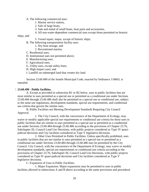A. The following commercial uses:

- 1. Marine service station,
- 2. Sale of large boats,
- 3. Sale and rental of small boats, boat parts and accessories,
- 4. All non-water-dependent commercial uses except those permitted on historic

ships, and

5. Vessel repair, major, except of historic ships;

B. The following transportation facility uses:

- 1. Dry boat storage, and
- 2. Recreational marina;
- C. Residential uses;
- D. Institutional uses not permitted above;
- E. Manufacturing uses;
- F. Agricultural uses;
- G. Utility uses, except utility lines;
- H. High-impact uses; and
- I. Landfill on submerged land that creates dry land.

Section 23.60.490 of the Seattle Municipal Code, enacted by Ordinance 118663, is repealed.

## **23.60.490 - Public facilities.**

A. Except as provided in subsection B1 or B2 below, uses in public facilities that are most similar to uses permitted as a special use or permitted as a conditional use under Sections 23.60.484 through 23.60.486 shall also be permitted as a special use or conditional use, subject to the same use regulations, development standards, special use requirements, and conditional use criteria that govern the similar uses.

B. Public Facilities not Meeting Development Standards Requiring City Council Approval.

1. The City Council, with the concurrence of the Department of Ecology, may waive or modify applicable special use requirements or conditional use criteria for those uses in public facilities that are similar to uses permitted as a special use or permitted as a conditional use under Sections 23.60.484 through 23.60.486 according to the provisions of Chapter 23.76, Subchapter III, Council Land Use Decisions, with public projects considered as Type IV quasijudicial decisions and City facilities considered as Type V legislative decisions.

2. Other Uses Permitted in Public Facilities. Unless specifically prohibited, uses in public facilities that are not similar to uses permitted as a special use or permitted as a conditional use under Sections 23.60.484 through 23.60.486 may be permitted by the City Council. City Council, with the concurrence of the Department of Ecology, may waive or modify development standards, special use requirements or conditional use criteria according to the provisions of Chapter 23.76, Subchapter III, Council Land Use Decisions, with public projects considered as Type IV quasi-judicial decisions and City facilities considered as Type V legislative decisions.

C. Expansion of Uses in Public Facilities.

1. Major Expansion. Major expansions may be permitted to uses in public facilities allowed in subsections A and B above according to the same provisions and procedural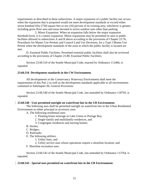requirements as described in these subsections. A major expansion of a public facility use occurs when the expansion that is proposed would not meet development standards or exceed either seven hundred fifty (750) square feet or ten (10) percent of its existing area, whichever is greater, including gross floor area and areas devoted to active outdoor uses other than parking.

2. Minor Expansion. When an expansion falls below the major expansion threshold level, it is a minor expansion. Minor expansions may be permitted to uses in public facilities allowed in subsections A and B above according to the provisions of Chapter 23.76, Procedures for Master Use Permits and Council Land Use Decisions, for a Type I Master Use Permit when the development standards of the zone in which the public facility is located are met.

D. Essential Public Facilities. Permitted essential public facilities shall also be reviewed according to the provisions of Chapter 23.80, Essential Public Facilities.

Section 23.60.510 of the Seattle Municipal Code, enacted by Ordinance 113466, is repealed.

## **23.60.510 Development standards in the CW Environment.**

All developments in the Conservancy Waterway Environment shall meet the requirements of this Part 2 as well as the development standards applicable to all environments contained in Subchapter III, General Provisions.

Section 23.60.540 of the Seattle Municipal Code, last amended by Ordinance 118793, is repealed.

## **23.60.540 - Uses permitted outright on waterfront lots in the UR Environment.**

The following uses shall be permitted outright on waterfront lots in the Urban Residential Environment as either principal or accessory uses:

A. The following residential uses:

- 1. Floating home moorage in Lake Union or Portage Bay,
- 2. Single-family and multifamily residences, and
- 3. Congregate residences and nursing homes;
- B. Streets;
- C. Bridges;
- D. Railroads;
- E. The following utilities:
	- 1. Utility lines, and
	- 2. Utility service uses whose operations require a shoreline location; and
- F. Shoreline recreation uses.

Section 23.60.542 of the Seattle Municipal Code, last amended by Ordinance 113764, is repealed.

## **23.60.542 - Special uses permitted on waterfront lots in the UR Environment.**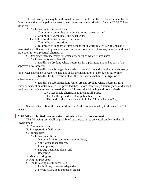The following uses may be authorized on waterfront lots in the UR Environment by the Director as either principal or accessory uses if the special use criteria in Section 23.60.032 are satisfied:

A. The following institutional uses:

1. Community center that provides shoreline recreation, and

2. Community yacht, boat, and beach clubs;

B. The following shoreline protective structures:

1. Natural beach protection, and

2. Bulkheads to support a water-dependent or water-related use, to enclose a permitted landfill area, or to prevent erosion on Class II or Class III beaches, when natural beach protection is not a practical alternative;

C. Dredging when necessary for water-dependent or water-related uses;

D. The following types of landfill:

1. Landfill on dry land where necessary for a permitted use and as part of an approved development,

2. Landfill on submerged lands which does not create dry land where necessary for a water-dependent or water-related use or for the installation of a bridge or utility line,

3. Landfill for the creation of wildlife or fisheries habitat as mitigation or enhancement, and

4. Landfill on submerged land which creates dry land where necessary for a water-dependent or water-related use, provided that if more than two (2) square yards of dry land per lineal yard of shoreline is created, the landfill meets the following additional criteria:

a. No reasonable alternative to the landfill exists,

b. The landfill provides a clear public benefit, and

c. The landfill site is not located in Lake Union or Portage Bay.

Section 23.60.544 of the Seattle Municipal Code, last amended by Ordinance 122310, is repealed.

# **23.60.544 - Prohibited uses on waterfront lots in the UR Environment.**

The following uses shall be prohibited as principal uses on waterfront lots in the UR Environment:

- A. Commercial uses;
- B. Transportation facility uses;
- C. Storage uses;
- D. The following utilities:
	- 1. Major and minor communication utilities,
	- 2. Solid waste management,
	- 3. Power plants,
	- 4. Sewage treatment plants, and
	- 5. Recycling;
- E. Manufacturing uses;
- F. High-impact uses;
- G. The following institutional uses:
	- 1. Institutions, non-water-dependent,
	- 2. Private yacht, boat and beach clubs;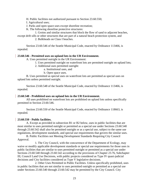H. Public facilities not authorized pursuant to Section 23.60.550;

I. Agricultural uses;

- J. Parks and open space uses except shoreline recreation;
- K. The following shoreline protective structures:

1. Groins and similar structures that block the flow of sand to adjacent beaches,

except drift sills or other structures that are part of a natural beach protection system, and 2. Bulkheads on Class I beaches.

Section 23.60.546 of the Seattle Municipal Code, enacted by Ordinance 113466, is repealed.

# **23.60.546 - Permitted uses on upland lots in the UR Environment.**

A. Uses permitted outright in the UR Environment:

1. Uses permitted outright on waterfront lots are permitted outright on upland lots;

2. Additional uses permitted outright:

a. Institutional uses, and

b. Open space uses.

B. Uses permitted as special uses on waterfront lots are permitted as special uses on upland lots unless permitted outright.

Section 23.60.548 of the Seattle Municipal Code, enacted by Ordinance 113466, is repealed.

# **23.60.548 - Prohibited uses on upland lots in the UR Environment.**

All uses prohibited on waterfront lots are prohibited on upland lots unless specifically permitted in Section 23.60.546.

Section 23.60.550 of the Seattle Municipal Code, enacted by Ordinance 118663, is repealed.

# **23.60.550 - Public facilities.**

A. Except as provided in subsection B1 or B2 below, uses in public facilities that are most similar to uses permitted outright or permitted as a special use under Sections 23.60.540 through 23.60.542 shall also be permitted outright or as a special use, subject to the same use regulations, development standards, and special use requirements that govern the similar uses.

B. Public Facilities not Meeting Development Standards Requiring City Council Approval.

1. The City Council, with the concurrence of the Department of Ecology, may waive or modify applicable development standards or special use requirements for those uses in public facilities that are similar to uses permitted outright or permitted as a special use under Sections 23.60.540 through 23.60.542 according to the provisions of Chapter 23.76, Subchapter III, Council Land Use Decisions, with public projects considered as Type IV quasi-judicial decisions and City facilities considered as Type V legislative decisions.

2. Other Uses Permitted in Public Facilities. Unless specifically prohibited, uses in public facilities that are not similar to uses permitted outright or permitted as a special use under Sections 23.60.540 through 23.60.542 may be permitted by the City Council. City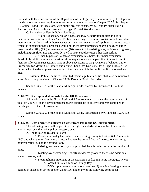Council, with the concurrence of the Department of Ecology, may waive or modify development standards or special use requirements according to the provisions of Chapter 23.76, Subchapter III, Council Land Use Decisions, with public projects considered as Type IV quasi-judicial decisions and City facilities considered as Type V legislative decisions.

C. Expansion of Uses in Public Facilities.

1. Major Expansion. Major expansions may be permitted to uses in public facilities allowed in subsections A and B above according to the same provisions and procedural requirements as described in these subsections. A major expansion of a public facility use occurs when the expansion that is proposed would not meet development standards or exceed either seven hundred fifty (750) square feet or ten (10) percent of its existing area, whichever is greater, including gross floor area and areas devoted to active outdoor uses other than parking.

2. Minor Expansion. When an expansion falls below the major expansion threshold level, it is a minor expansion. Minor expansions may be permitted to uses in public facilities allowed in subsections A and B above according to the provisions of Chapter 23.76, Procedures for Master Use Permits and Council Land Use Decisions, for a Type I Master Use Permit when the development standards of the zone in which the public facility is located are met.

D. Essential Public Facilities. Permitted essential public facilities shall also be reviewed according to the provisions of Chapter 23.80, Essential Public Facilities.

Section 23.60.570 of the Seattle Municipal Code, enacted by Ordinance 113466, is repealed.

## **23.60.570 Development standards for the UR Environment.**

All development in the Urban Residential Environment shall meet the requirements of this Part 2 as well as the development standards applicable to all environments contained in Subchapter III, General Provisions.

Section 23.60.600 of the Seattle Municipal Code, last amended by Ordinance 122771, is repealed.

## **23.60.600 - Uses permitted outright on waterfront lots in the US Environment.**

The following uses shall be permitted outright on waterfront lots in the Urban Stable environment as either principal or accessory uses:

A. The following residential uses:

1. Residences on dry land when the underlying zoning is Residential Commercial (RC) and when the residential use is located above the ground floor of a structure containing nonresidential uses on the ground floor,

2. Existing residences on dry land provided there is no increase in the number of units,

3. Existing over-water single-family residences provided there is no additional water coverage, and

4. Floating home moorages or the expansion of floating home moorages, when: a. Located in Lake Union or Portage Bay,

b. 455Occupied solely by no more than two (2) existing floating homes as defined in subsection A4 of Section 23.60.196, under any of the following conditions: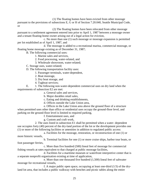(1) The floating homes have been evicted from other moorage

pursuant to the provisions of subsections E, G or H of Section 7.20.040, Seattle Municipal Code, or

(2) The floating homes have been relocated from other moorage pursuant to a settlement agreement entered into prior to April 1, 1987 between a moorage owner and a tenant floating-home owner arising out of a legal action for eviction,

c. No more than one (1) such moorage or moorage expansion is permitted per lot established as of April 1, 1987, and

d. The moorage is added to a recreational marina, commercial moorage, or floating home moorage existing as of December 31, 1987;

B. The following commercial uses:

- 1. Marine sales and services,
- 2. Food processing, water-related, and
- 3. Wholesale showroom, water-related;
- C. Storage uses, water-related;
- D. The following transportation facility uses:
	- 1. Passenger terminals, water-dependent,
	- 2. Boat moorage,
	- 3. Dry boat storage, and
	- 4. Tugboat services;

E. 1. The following non-water-dependent commercial uses on dry land when the requirements of subsection E2 are met:

- a. General sales and services,
- b. Major durables retail sales,
- c. Eating and drinking establishments,
- d. Offices outside the Lake Union area,

e. Offices in the Lake Union area above the ground floor of a structure when permitted uses other than office or residential uses occupy the ground-floor level, and parking on the ground-floor level is limited to required parking,

f. Entertainment uses, and

g. Custom and craft work,

2. The uses listed in subsection E1 shall be permitted when a water- dependent use occupies forty (40) percent of the dry-land portion of the lot or the development provides one (1) or more of the following facilities or amenities in addition to regulated public access:

a. Facilities for the moorage, restoration, or reconstruction of one (1) or more historic vessels,

b. Terminal facilities for one (1) or more cruise ships, harbor tour boats, or foot passenger ferries,

c. More than five hundred (500) lineal feet of moorage for commercial fishing vessels at rates equivalent to that charged at public moorage facilities,

d. Facilities for a maritime museum or waterfront interpretive center that is a separate nonprofit organization existing at time of application,

e. More than one thousand five hundred (1,500) lineal feet of saltwater moorage for recreational vessels,

f. A major public open space, occupying at least one-third (1/3) of the dryland lot area, that includes a public walkway with benches and picnic tables along the entire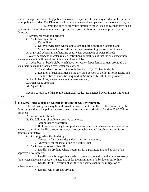water frontage, and connecting public walkways to adjacent sites and any nearby public parks or other public facilities. The Director shall require adequate signed parking for the open space, or

g. Other facilities or amenities similar to those listed above that provide an opportunity for substantial numbers of people to enjoy the shoreline, when approved by the Director;

F. Streets, railroads and bridges;

G. The following utilities:

1. Utility lines,

2. Utility service uses whose operations require a shoreline location, and

3. Minor communication utilities, except freestanding transmission towers;

H. Light and general manufacturing uses, water-dependent or water-related;

I. Water-dependent or water-related institutions or facilities of institutions, except nonwater-dependent facilities of yacht, boat and beach clubs;

J. Yacht, boat or beach clubs which have non-water-dependent facilities, provided that such facilities may be located over water only when:

1. The dry-land portion of the lot is less than fifty (50) feet in depth,

2. Location of such facilities on the dry-land portion of the lot is not feasible, and

3. The facilities or amenities required by Section 23.60.600 C are provided;

K. Public facilities, water-dependent or water-related;

L. Open space uses; and

M. Aquaculture.

Section 23.60.602 of the Seattle Municipal Code, last amended by Ordinance 113764, is repealed.

# **23.60.602 - Special uses on waterfront lots in the US Environment.**

The following uses may be authorized on waterfront lots in the US Environment by the Director as either principal or accessory uses if the special use criteria of Section 23.60.032 are satisfied:

A. Airport, water-based;

B. The following shoreline protective structures:

1. Natural beach protection,

2. Bulkheads necessary to support a water-dependent or water-related use, or to enclose a permitted landfill area, or to prevent erosion, when natural beach protection is not a practical alternative;

C. Dredging, when the dredging is:

1. Necessary for a water-dependent or water-related use,

2. Necessary for the installation of a utility line;

D. The following types of landfill:

1. Landfill on dry land where necessary for a permitted use and as part of an approved development,

2. Landfill on submerged lands which does not create dry land where necessary for a water-dependent or water-related use or for the installation of a bridge or utility line,

3. Landfill for the creation of wildlife or fisheries habitat as mitigation or enhancement, and

4. Landfill which creates dry land: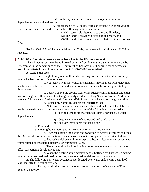a. i. When the dry land is necessary for the operation of a waterdependent or water-related use, and

ii. If more than two (2) square yards of dry land per lineal yard of shoreline is created, the landfill meets the following additional criteria:

(1) No reasonable alternative to the landfill exists,

(2) The landfill provides a clear public benefit, and

(3) The landfill site is not located in Lake Union or Portage

Bay.

Section 23.60.604 of the Seattle Municipal Code, last amended by Ordinance 122310, is repealed.

# **23.60.604 - Conditional uses on waterfront lots in the US Environment.**

The following uses may be authorized on waterfront lots in the US Environment by the Director, with the concurrence of the Department of Ecology, as either principal or accessory uses if the criteria for conditional uses in WAC 173-27-160 are satisfied:

A. Residential uses:

1. New single-family and multifamily dwelling units and artist studio dwellings on the dry land portion of the lot when:

a. Not located near uses which are normally incompatible with residential use because of factors such as noise, air and water pollutants, or aesthetic values protected by this chapter,

b. Located above the ground floor of a structure containing nonresidential uses on the ground floor, except that single-family residences along Seaview Avenue Northwest between 34th Avenue Northwest and Northwest 60th Street may be located on the ground floor, c. Located near other residences on waterfront lots,

d. Not located on a lot or in an area which would make the lot suitable for use by water-dependent or water-related use by having any of the following characteristics:

(1) Existing piers or other structures suitable for use by a water-

dependent use,

(2) Adequate amounts of submerged and dry lands, or

(3) Adequate water depth and land slope,

2. Reserved.

3. Floating home moorages in Lake Union or Portage Bay when:

a. After considering the nature and condition of nearby structures and uses the Director determines that the immediate environs are not incompatible with residential use,

b. The residential use will not usurp land better suited to water-dependent, water-related or associated industrial or commercial uses,

c. The structural bulk of the floating home development will not adversely affect surrounding development, and

d. When the floating home development is buffered by distance, screening or an existing recreational marina from adjacent nonresidential uses and vacant lots;

B. The following non-water-dependent uses located over water on lots with a depth of less than fifty (50) feet of dry land:

1. Eating and drinking establishments meeting the criteria of subsection E2 of Section 23.60.600,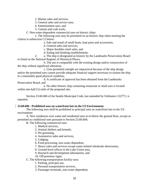2. Marine sales and services,

3. General sales and service uses,

- 4. Entertainment uses, and
- 5. Custom and craft work;

C. Non-water-dependent commercial uses on historic ships:

1. The following uses may be permitted on an historic ship when meeting the criteria in subsection C2 below:

a. Sale and rental of small boats, boat parts and accessories,

b. General sales and services,

c. Major durables retail sales, and

d. Eating and drinking establishments.

2. a. The ship is designated as historic by the Landmarks Preservation Board or listed on the National Register of Historical Places,

b. The use is compatible with the existing design and/or construction of the ship without significant alteration,

c. Uses permitted outright are impractical because of the ship design and/or the permitted uses cannot provide adequate financial support necessary to sustain the ship in a reasonably good physical condition,

d. A certificate of approval has been obtained from the Landmarks Preservation Board, and

e. No other historic ship containing restaurant or retail uses is located within one-half  $(\frac{1}{2})$  mile of the proposed site.

Section 23.60.606 of the Seattle Municipal Code, last amended by Ordinance 122771, is repealed.

# **23.60.606 - Prohibited uses on waterfront lots in the US Environment.**

The following uses shall be prohibited as principal uses on waterfront lots in the US environment:

A. New residences over water and residential uses at or below the ground floor, except as permitted as conditional uses pursuant to Section 23.60.604;

B. The following commercial uses:

1. Medical services,

2. Animal shelters and kennels,

3. Pet grooming,

4. Automotive sales and services,

5. Lodging,

6. Food processing, non-water-dependent,

7. Heavy sales and services except water-related wholesale showrooms,

8. Ground-level offices in the Lake Union area,

9. Research and development laboratories, and

10. Off-premises signs;

C. The following transportation facility uses:

1. Parking, principal use,

2. Personal transportation services,

3. Passenger terminals, non-water-dependent,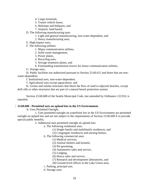- 4. Cargo terminals,
- 5. Transit vehicle bases,
- 6. Helistops and heliports, and
- 7. Airports, land-based;
- D. The following manufacturing uses:
	- 1. Light and general manufacturing, non-water-dependent, and
	- 2. Heavy manufacturing uses;
- E. High-impact uses;
- F. The following utilities:
	- 1. Major communication utilities,
	- 2. Solid waste management,
	- 3. Power plants,
	- 4. Recycling uses,
	- 5. Sewage treatment plants, and
	- 6. Freestanding transmission towers for minor communication utilities;
- G. Storage uses;

H. Public facilities not authorized pursuant to Section 23.60.612 and those that are nonwater-dependent;

I. Institutional uses, non-water-dependent;

J. Agricultural uses except aquaculture; and

K. Groins and similar structures that block the flow of sand to adjacent beaches, except drift sills or other structures that are part of a natural beach protection system.

Section 23.60.608 of the Seattle Municipal Code, last amended by Ordinance 122310, is repealed.

## **23.60.608 - Permitted uses on upland lots in the US Environment.**

A. Uses Permitted Outright.

1. Uses permitted outright on waterfront lots in the US Environment are permitted outright on upland lots and are not subject to the requirements of Section 23.60.600 E to provide special public benefits.

2. Additional uses permitted outright on upland lots:

- a. The following residential uses:
	- (1) Single-family and multifamily residences, and
	- (2) Congregate residences and nursing homes;

b. The following commercial uses:

(1) Medical services,

- (2) Animal shelters and kennels,
- (3) Pet grooming,
- (4) Automotive sales and service,

(5) Lodging,

- (6) Heavy sales and service,
- (7) Research and development laboratories, and
- (8) Ground-level offices in the Lake Union area;
- c. Parking, principal use;
- d. Storage uses;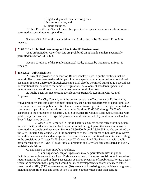- e. Light and general manufacturing uses;
- f. Institutional uses; and
- g. Public facilities.

B. Uses Permitted as Special Uses. Uses permitted as special uses on waterfront lots are permitted as special uses on upland lots.

Section 23.60.610 of the Seattle Municipal Code, enacted by Ordinance 113466, is repealed.

## **23.60.610 - Prohibited uses on upland lots in the US Environment.**

Uses prohibited on waterfront lots are prohibited on upland lots unless specifically permitted in Section 23.60.608.

Section 23.60.612 of the Seattle Municipal Code, enacted by Ordinance 118663, is repealed.

## **23.60.612 - Public facilities.**

A. Except as provided in subsection B1 or B2 below, uses in public facilities that are most similar to uses permitted outright, permitted as a special use or permitted as a conditional use under Sections 23.60.600 through 23.60.604 shall also be permitted outright, as a special use or conditional use, subject to the same use regulations, development standards, special use requirements, and conditional use criteria that govern the similar uses.

B. Public Facilities not Meeting Development Standards Requiring City Council Approval.

1. The City Council, with the concurrence of the Department of Ecology, may waive or modify applicable development standards, special use requirements or conditional use criteria for those uses in public facilities that are similar to uses permitted outright, permitted as a special use or permitted as a conditional use under Sections 23.60.600 through 23.60.604 according to the provisions of Chapter 23.76, Subchapter III, Council Land Use Decisions, with public projects considered as Type IV quasi-judicial decisions and City facilities considered as Type V legislative decisions.

2. Other Uses Permitted in Public Facilities. Unless specifically prohibited, uses in public facilities that are not similar to uses permitted outright, permitted as a special use or permitted as a conditional use under Sections 23.60.600 through 23.60.604 may be permitted by the City Council. City Council, with the concurrence of the Department of Ecology, may waive or modify development standards, special use requirements or conditional use criteria according to the provisions of Chapter 23.76, Subchapter III, Council Land Use Decisions, with public projects considered as Type IV quasi-judicial decisions and City facilities considered as Type V legislative decisions.

C. Expansion of Uses in Public Facilities.

1. Major Expansion. Major expansions may be permitted to uses in public facilities allowed in subsections A and B above according to the same provisions and procedural requirements as described in these subsections. A major expansion of a public facility use occurs when the expansion that is proposed would not meet development standards or exceed either seven hundred fifty (750) square feet or ten (10) percent of its existing area, whichever is greater, including gross floor area and areas devoted to active outdoor uses other than parking.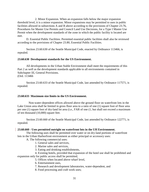2. Minor Expansion. When an expansion falls below the major expansion threshold level, it is a minor expansion. Minor expansions may be permitted to uses in public facilities allowed in subsections A and B above according to the provisions of Chapter 23.76, Procedures for Master Use Permits and Council Land Use Decisions, for a Type I Master Use Permit when the development standards of the zone in which the public facility is located are met.

D. Essential Public Facilities. Permitted essential public facilities shall also be reviewed according to the provisions of Chapter 23.80, Essential Public Facilities.

Section 23.60.630 of the Seattle Municipal Code, enacted by Ordinance 113466, is repealed.

#### **23.60.630 Development standards for the US Environment.**

All developments in the Urban Stable Environment shall meet the requirements of this Part 2 as well as the development standards applicable to all environments contained in Subchapter III, General Provisions. (Ord. 113466

Section 23.60.633 of the Seattle Municipal Code, last amended by Ordinance 117571, is repealed.

#### **23.60.633 Maximum size limits in the US Environment.**

Non-water-dependent offices allowed above the ground floor on waterfront lots in the Lake Union area shall be limited in gross floor area to a ratio of one (1) square foot of floor area per one (1) square foot of dry-land lot area (i.e., FAR of one (1, but shall not exceed a maximum of ten thousand (10,000) square feet.

Section 23.60.660 of the Seattle Municipal Code, last amended by Ordinance 122771, is repealed.

#### **23.60.660 - Uses permitted outright on waterfront lots in the UH Environment.**

The following uses shall be permitted over water or on dry-land portions of waterfront lots in the Urban Harborfront environment as either principal or accessory uses:

A. The following commercial uses:

- 1. General sales and services,
- 2. Marine sales and services,
- 3. Eating and drinking establishments,

4. Existing hotels, provided that expansion of the hotel use shall be prohibited and expansion only for public access shall be permitted,

- 5. Offices when located above wharf level,
- 6. Entertainment uses,
- 7. Research and development laboratories, water-dependent, and
- 8. Food processing and craft work uses;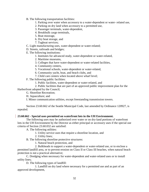- B. The following transportation facilities:
	- 1. Parking over water when accessory to a water-dependent or water- related use,
	- 2. Parking on dry land when accessory to a permitted use,
	- 3. Passenger terminals, water-dependent,
	- 4. Breakbulk cargo terminals,
	- 5. Boat moorage,
	- 6. Dry boat storage, and
	- 7. Tugboat services;
- C. Light manufacturing uses, water-dependent or water-related;
- D. Streets, railroads and bridges;
- E. The following institutions:
	- 1. Institutes for advanced study, water-dependent or water-related,
	- 2. Maritime museums,
	- 3. Colleges that have water-dependent or water-related facilities,
	- 4. Community centers,
	- 5. Vocational schools, water-dependent or water-related,
	- 6. Community yacht, boat, and beach clubs, and
	- 7. Child care centers when located above wharf level;
- F. The following public facilities:
	- 1. Public facilities, water-dependent or water-related, and
- 2. Public facilities that are part of an approved public improvement plan for the Harborfront adopted by the Council;
	- G. Shoreline Recreation;
	- H. Aquaculture; and
	- I. Minor communication utilities, except freestanding transmission towers.

Section 23.60.662 of the Seattle Municipal Code, last amended by Ordinance 120927, is repealed.

# **23.60.662 - Special uses permitted on waterfront lots in the UH Environment.**

The following uses may be authorized over water or on dry-land portions of waterfront lots in the UH Environment by the Director as either principal or accessory uses if the special use criteria of Section 23.60.032 are satisfied:

A. The following utilities:

- 1. Utility service uses that require a shoreline location, and
- 2. Utility lines;
- B. The following shoreline protective structures:
	- 1. Natural beach protection, and

2. Bulkheads to support a water-dependent or water-related use, or to enclose a permitted landfill area, or to prevent erosion on Class II or Class III beaches, when natural beach protection is not a practical alternative;

C. Dredging when necessary for water-dependent and water-related uses or to install utility lines;

D. The following types of landfill:

1. Landfill on dry land where necessary for a permitted use and as part of an approved development,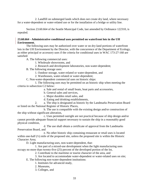2. Landfill on submerged lands which does not create dry land, where necessary for a water-dependent or water-related use or for the installation of a bridge or utility line.

Section 23.60.664 of the Seattle Municipal Code, last amended by Ordinance 122310, is repealed.

# **23.60.664 - Administrative conditional uses permitted on waterfront lots in the UH Environment.**

The following uses may be authorized over water or on dry-land portions of waterfront lots in the UH Environment by the Director, with the concurrence of the Department of Ecology, as either principal or accessory uses if the criteria for conditional uses in WAC 173-27-160 are satisfied:

A. The following commercial uses:

1. Wholesale showrooms, and

- 2. Research and development laboratories, non-water-dependent;
- B. The following storage uses:
	- 1. Outdoor storage, water-related or water-dependent, and

2. Warehouses, water-related or water-dependent;

C. Non-water-dependent commercial uses on historic ships:

1. The following uses may be permitted on an historic ship when meeting the criteria in subsection C2 below:

a. Sale and rental of small boats, boat parts and accessories,

b. General sales and services,

c. Major durables retail sales, and

d. Eating and drinking establishments,

2. a. The ship is designated as historic by the Landmarks Preservation Board or listed on the National Register of Historic Places,

b. The use is compatible with the existing design and/or construction of the ship without significant alteration,

c. Uses permitted outright are not practical because of ship design and/or cannot provide adequate financial support necessary to sustain the ship in a reasonably good physical condition,

d. The use shall obtain a certificate of approval from the Landmarks Preservation Board, and

e. No other historic ship containing restaurant or retail uses is located within one-half (½) mile of the proposed site, unless the proposed site is within the Historic Character Area;

D. Light manufacturing uses, non-water-dependent, that:

1. Are part of a mixed-use development when the light manufacturing uses occupy no more than twenty-five (25) percent of the developed portion of the lot,

2. Contribute to the maritime or tourist character of the area, and

3. Are located to accommodate water-dependent or water-related uses on site; E. The following non-water-dependent institutions:

- 1. Institutes for advanced study,
- 2. Museums,
- 3. Colleges, and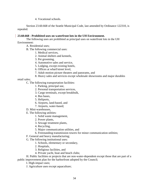4. Vocational schools.

Section 23.60.668 of the Seattle Municipal Code, last amended by Ordinance 122310, is repealed.

# **23.60.668 - Prohibited uses on waterfront lots in the UH Environment.**

The following uses are prohibited as principal uses on waterfront lots in the UH Environment:

A. Residential uses;

- B. The following commercial uses:
	- 1. Medical services,
	- 2. Animal shelters and kennels,
	- 3. Pet grooming,
	- 4. Automotive sales and service,
	- 5. Lodging, except existing hotels,
	- 6. Offices at wharf/street level,
	- 7. Adult motion picture theaters and panorams, and
	- 8. Heavy sales and services except wholesale showrooms and major durables

retail sales;

C. The following transportation facilities:

- 1. Parking, principal use,
- 2. Personal transportation services,
- 3. Cargo terminals, except breakbulk,
- 4. Bus bases,
- 5. Heliports,
- 6. Airports, land-based, and
- 7. Airports, water-based;
- D. Mini-warehouses,
- E. The following utilities:
	- 1. Solid waste management,
	- 2. Power plants,
	- 3. Sewage treatment plants,
	- 4. Recycling,
	- 5. Major communication utilities, and
	- 6. Freestanding transmission towers for minor communication utilities;
- F. General and heavy manufacturing;
- G. The following institutional uses:
	- 1. Schools, elementary or secondary,
	- 2. Hospitals,
	- 3. Religious facilities, and
	- 4. Private yacht, boat and beach clubs;

H. Public facilities or projects that are non-water-dependent except those that are part of a public improvement plan for the harborfront adopted by the Council;

I. High-impact uses;

J. Agriculture uses except aquaculture;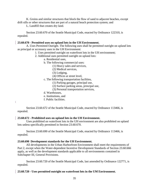K. Groins and similar structures that block the flow of sand to adjacent beaches, except drift sills or other structures that are part of a natural beach protection system; and

L. Landfill that creates dry land.

Section 23.60.670 of the Seattle Municipal Code, enacted by Ordinance 122310, is repealed.

## **23.60.670 - Permitted uses on upland lots in the UH Environment.**

A. Uses Permitted Outright. The following uses shall be permitted outright on upland lots as principal or accessory uses in the UH Environment:

- 1. Uses permitted outright on waterfront lots in the UH environment;
- 2. Additional uses permitted outright on upland lots:
	- a. Residential uses,
	- b. The following commercial uses:
		- (1) Heavy sales and services,
		- (2) Medical services,
		- (3) Lodging,
		- (4) Offices at street level,
	- c. The following transportation facilities,
		- (1) Parking garages, principal use,
		- (2) Surface parking areas, principal use,
		- (3) Personal transportation services,
	- d. Warehouses,

 $\mathbf{I}$ 

- e. Institutions, and
- f. Public facilities.

Section 23.60.672 of the Seattle Municipal Code, enacted by Ordinance 113466, is repealed.

## **23.60.672 - Prohibited uses on upland lots in the UH Environment.**

Uses prohibited on waterfront lots in the UH environment are also prohibited on upland lots unless specifically permitted in Section 23.60.670.

Section 23.60.690 of the Seattle Municipal Code, enacted by Ordinance 113466, is repealed.

# **23.60.690 Development standards for the UH Environment.**

All developments in the Urban Harborfront Environment shall meet the requirements of Part 2, except when the Water-dependent Incentive Development Standards of Section 23.60.666 apply, as well as the development standards applicable to all environments contained in Subchapter III, General Provisions.

Section 23.60.720 of the Seattle Municipal Code, last amended by Ordinance 122771, is repealed.

# **23.60.720 - Uses permitted outright on waterfront lots in the UM Environment.**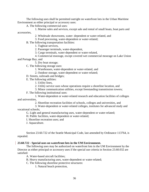The following uses shall be permitted outright on waterfront lots in the Urban Maritime Environment as either principal or accessory uses:

A. The following commercial uses:

1. Marine sales and services, except sale and rental of small boats, boat parts and accessories,

- 2. Wholesale showrooms, water- dependent or water-related, and
- 3. Food processing, water-dependent or water-related;
- B. The following transportation facilities:
	- 1. Tugboat services,
	- 2. Passenger terminals, water-dependent,
	- 3. Cargo terminals, water-dependent or water-related,
	- 4. Commercial moorage, except covered wet commercial moorage on Lake Union

and Portage Bay, and

- 5. Dry boat storage;
- C. The following storage uses:
	- 1. Warehouses, water-dependent or water-related, and
	- 2. Outdoor storage, water-dependent or water-related;
- D. Streets, railroads and bridges;
- E. The following utilities:
	- 1. Utility lines,
	- 2. Utility service uses whose operations require a shoreline location, and
	- 3. Minor communication utilities, except freestanding transmission towers;
- F. The following institutional uses:

1. Water-dependent or water-related research and education facilities of colleges and universities,

2. Shoreline recreation facilities of schools, colleges and universities, and

3. Water-dependent or water-related colleges, institutes for advanced study and vocational schools;

G. Light and general manufacturing uses, water-dependent or water-related;

H. Public facilities, water-dependent or water-related;

- I. Shoreline recreation uses; and
- J. Aquaculture.

Section 23.60.722 of the Seattle Municipal Code, last amended by Ordinance 113764, is repealed.

## **[23.60.722](javascript:void(0)) - Special uses on waterfront lots in the UM Environment.**

The following uses may be authorized on waterfront lots in the UM Environment by the Director as either principal or accessory uses if the special use criteria in Section 23.60.032 are satisfied:

A. Water-based aircraft facilities;

- B. Heavy manufacturing uses, water-dependent or water-related;
- C. The following shoreline protective structures:
	- 1. Natural beach protection,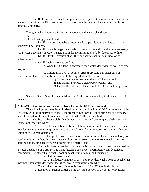2. Bulkheads necessary to support a water-dependent or water-related use, or to enclose a permitted landfill area, or to prevent erosion, when natural beach protection is not a practical alternative;

D.

Dredging when necessary for water-dependent and water-related uses;

E.

The following types of landfill:

1. Landfill on dry land where necessary for a permitted use and as part of an approved development,

2. Landfill on submerged lands which does not create dry land where necessary for a water-dependent or water-related use or for the installation of a bridge or utility line,

3. Landfill for the creation of wildlife or fisheries habitat as mitigation or enhancement,

4. Landfill which creates dry land:

a. When the dry land is necessary for a water-dependent or water-related

use, and

b. If more than two (2) square yards of dry land per lineal yard of shoreline is placed, the landfill meets the following additional criteria:

(1) No reasonable alternative to the landfill exists, and

(2) The landfill provides a clear public benefit, and

(3) The landfill site is not located in Lake Union or Portage Bay.

Section 23.60.724 of the Seattle Municipal Code, last amended by Ordinance 122310, is repealed.

# **[23.60.724](javascript:void(0)) - Conditional uses on waterfront lots in the UM Environment.**

The following uses may be authorized on waterfront lots in the UM Environment by the Director, with the concurrence of the Department of Ecology, as either principal or accessory uses if the criteria for conditional uses in WAC 173-27-160 are satisfied:

A. Yacht, boat or beach clubs that do not have eating and drinking establishments and recreational marinas when:

1. a. The yacht, boat or beach club or marina is not located where frequent interference with the turning basins or navigational areas for large vessels or other conflict with shipping is likely to occur, and

b. The yacht, boat or beach club or marina is not located where likely to conflict with manufacturing uses because of dust or noise or other environmental factors, or parking and loading access needs or other safety factors, and

2. The yacht, boat or beach club or marina is located on a lot that is not suited for a water-dependent or water-related manufacturing use, or for a permitted water-dependent commercial use other than a yacht, boat or beach club or a marina because of:

a. Shallow water depth, or

b. An inadequate amount of dry land; provided, yacht, boat or beach clubs may have non-water-dependent facilities located over water only when:

1. The dry-land portion of the lot is less than fifty (50) feet in depth, and

2. Location of such facilities on the dry-land portion of the lot is not feasible;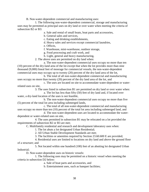B. Non-water-dependent commercial and manufacturing uses:

1. The following non-water-dependent commercial, storage and manufacturing uses may be permitted as principal uses on dry land or over water when meeting the criteria of subsection B2 or B3:

a. Sale and rental of small boats, boat parts and accessories,

b. General sales and services,

c. Eating and drinking establishments,

d. Heavy sales and services except commercial laundries,

e. Offices,

f. Warehouse, mini-warehouse, outdoor storage,

g. Food processing and craft work, and

h. Light, general and heavy manufacturing,

2. The above uses are permitted on dry land when:

a. The non-water-dependent commercial uses occupy no more than ten (10) percent of the dry-land area of the lot except that when the lot provides more than nine thousand (9,000) lineal feet of moorage for commercial vessels, the non-water-dependent commercial uses may occupy up to twenty (20) percent of the dry-land area of the lot,

b. The total of all non-water-dependent commercial and manufacturing uses occupy no more than twenty (20) percent of the dry land area of the lot, and

c. The uses are located on site to accommodate water-dependent or waterrelated uses on site,

3. The uses listed in subsection B1 are permitted on dry land or over water when:

a. The lot has less than fifty (50) feet of dry land and, if located over water, a dry-land location of the uses is not feasible,

b. The non-water-dependent commercial uses occupy no more than five (5) percent of the total lot area including submerged lands,

c. The total of all non-water-dependent commercial and manufacturing uses occupy no more than ten (10) percent of the total lot area including submerged land, and

d. The non-water-dependent uses are located to accommodate the waterdependent or water-related uses on site,

4. The uses permitted in subsection B1 may be relocated on a lot provided the requirements of subsection B2 or B3 are met;

C. Multifamily residential and research and development laboratory uses when:

1. The lot abuts a lot designated Urban Residential;

2. All Urban Stable Development Standards are met;

3. The facilities or amenities required by Section 23.60.600 E are provided;

4. Residential uses are limited to locations on dry land and above the ground floor of a structure; and

5. Not located within one hundred (100) feet of an abutting lot designated Urban Industrial;

D. Non-water-dependent uses on historic vessels:

1. The following uses may be permitted on a historic vessel when meeting the criteria in subsection D2 below:

a. Sale of boat parts and accessories, and

b. Entertainment uses, such as banquet facilities;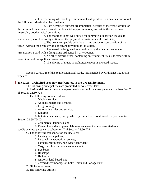2. In determining whether to permit non-water-dependent uses on a historic vessel the following criteria shall be considered:

a. Uses permitted outright are impractical because of the vessel design, or the permitted uses cannot provide the financial support necessary to sustain the vessel in a reasonably good physical condition,

b. The moorage is not well-suited for commercial maritime use due to water depth, shoreline configuration or other physical or environmental constraints,

c. The use is compatible with the existing design or construction of the vessel, without the necessity of significant alteration of the vessel,

d. The vessel is designated as a landmark by the Seattle Landmarks Preservation Board with a designating ordinance by City Council,

e. No other historic vessel containing entertainment uses is located within one (1) mile of the applicant vessel, and

f. The playing of music is prohibited except in enclosed spaces.

Section 23.60.728 of the Seattle Municipal Code, last amended by Ordinance 122310, is repealed.

# **23.60.728 - Prohibited uses on waterfront lots in the UM Environment.**

The following principal uses are prohibited on waterfront lots:

A. Residential uses, except where permitted as a conditional use pursuant to subsection C of Section 23.60.724;

B. The following commercial uses:

1. Medical services,

2. Animal shelters and kennels,

3. Pet grooming,

4. Automotive sales and service,

5. Lodging,

6. Entertainment uses, except where permitted as a conditional use pursuant to

Section 23.60.724 D,

7. Commercial laundries, and

8. Research and development laboratories, except where permitted as a

conditional use pursuant to subsection C of Section 23.60.724;

C. The following transportation facility uses:

1. Parking, principal use,

2. Personal transportation services,

3. Passenger terminals, non-water-dependent,

4. Cargo terminals, non-water-dependent,

5. Bus bases,

6. Helistops,

7. Heliports,

8. Airports, land-based, and

9. Covered wet moorage on Lake Union and Portage Bay;

D. High-impact uses;

E. The following utilities: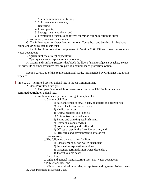1. Major communication utilities,

2. Solid waste management,

- 3. Recycling,
- 4. Power plants,

5. Sewage treatment plants, and

6. Freestanding transmission towers for minor communication utilities;

F. Institutions, non-water-dependent;

G. The following water-dependent institutions: Yacht, boat and beach clubs that have eating and drinking establishments;

H. Public facilities not authorized pursuant to Section 23.60.734 and those that are nonwater-dependent;

I. Agricultural uses except aquaculture;

J. Open space uses except shoreline recreation;

K. Groins and similar structures that block the flow of sand to adjacent beaches, except for drift sills or other structures that are part of a natural beach protection system.

Section 23.60.730 of the Seattle Municipal Code, last amended by Ordinance 122310, is repealed.

[\(23.60.730](javascript:void(0)) - Permitted uses on upland lots in the UM Environment.

A. Uses Permitted Outright.

1. Uses permitted outright on waterfront lots in the UM Environment are permitted outright on upland lots.

2. Additional uses permitted outright on upland lots:

a. Commercial Uses.

(1) Sale and rental of small boats, boat parts and accessories,

- (2) General sales and service uses,
- (3) Medical services,
- (4) Animal shelters and kennels,
- (5) Automotive sales and service,
- (6) Eating and drinking establishments,
- (7) Heavy sales and services,
- (8) Food processing and craft work,
- (9) Offices except in the Lake Union area, and
- (10) Research and development laboratories;

b. Storage uses;

- c. The following transportation facilities:
	- (1) Cargo terminals, non-water-dependent,
		- (2) Personal transportation services,
		- (3) Passenger terminals, non-water-dependent,
	- (4) Transit vehicle base;
- d. Recycling;
- e. Light and general manufacturing uses, non-water-dependent;
- f. Public facilities; and
- g. Minor communication utilities, except freestanding transmission towers.
- B. Uses Permitted as Special Uses.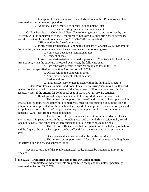1. Uses permitted as special uses on waterfront lots in the UM environment are permitted as special uses on upland lots.

2. Additional uses permitted as special uses on upland lots:

a. Heavy manufacturing uses, non-water-dependent.

C. Uses Permitted as Conditional Uses. The following uses may be authorized by the Director, with the concurrence of the Department of Ecology, as either principal or accessory uses if the criteria for conditional uses in WAC 173-27-160 are satisfied:

1. Offices within the Lake Union area;

2. In structures designated as Landmarks, pursuant to Chapter 25.12, Landmarks Preservation, when the structure is not located over water, the following uses:

a. Non-water-dependent institutional uses,

b. Residential uses;

3. In structures designated as Landmarks, pursuant to Chapter 25.12, Landmarks Preservation, when the structure is located over water, the following uses:

a. Uses otherwise permitted outright on upland lots in the UM environment as specified in subsection A of Section 23.60.730,

b. Offices within the Lake Union area,

- c. Non-water-dependent institutional uses,
- d. Residential uses,
- e. Parking accessory to uses located within the landmark structure.

D. Uses Permitted as Council Conditional Uses. The following uses may be authorized by the City Council, with the concurrence of the Department of Ecology, as either principal or accessory uses, if the criteria for conditional uses in WAC 173-27-160 are satisfied:

1. Helistops and heliports when the following additional criteria are met:

a. The helistop or heliport is for takeoff and landing of helicopters which serve a public safety, news gathering, or emergency medical care function and, in the case of heliports, services provided for those helicopters; is part of an approved transportation plan and is a public facility; or is part of an approved transportation plan and is located at least two thousand (2,000) feet from a residential zone;

b. The helistop or heliport is located so as to minimize adverse physical environmental impacts on lots in the surrounding area, and particularly on residentially zoned lots, public parks, and other areas where substantial public gatherings may be held;

c. The lot is of sufficient size that the operations of the helistop or heliport and the flight paths of the helicopters can be buffered from the other uses in the surrounding area;

d. Open areas and landing pads shall be hardsurfaced; and

e. The helistop or heliport meets all federal requirements including those for safety, glide angles, and approach lanes.

Section 23.60.732 of the Seattle Municipal Code, enacted by Ordinance 113466, is repealed.

## **[23.60.732](javascript:void(0)) - Prohibited uses on upland lots in the UM Environment.**

Uses prohibited on waterfront lots are prohibited on upland lots unless specifically permitted in Section 23.60.730.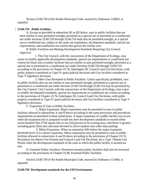Section 23.60.734 of the Seattle Municipal Code, enacted by Ordinance 118663, is repealed.

## **[23.60.734](javascript:void(0)) - Public facilities.**

A. Except as provided in subsection B1 or B2 below, uses in public facilities that are most similar to uses permitted outright, permitted as a special use or permitted as a conditional use under Sections 23.60.720 through 23.60.724 shall also be permitted outright, as a special use or conditional use, subject to the same use regulations, development standards, special use requirements, and conditional use criteria that govern the similar uses.

B. Public Facilities not Meeting Development Standards Requiring City Council Approval.

1. The City Council, with the concurrence of the Department of Ecology, may waive or modify applicable development standards, special use requirements or conditional use criteria for those uses in public facilities that are similar to uses permitted outright, permitted as a special use or permitted as a conditional use under Sections 23.60.720 through 23.60.724 according to the provisions of Chapter 23.76, Subchapter III, Council Land Use Decisions, with public projects considered as Type IV quasi-judicial decisions and City facilities considered as Type V legislative decisions.

2. Other Uses Permitted in Public Facilities. Unless specifically prohibited, uses in public facilities that are not similar to uses permitted outright, permitted as a special use or permitted as a conditional use under Sections 23.60.720 through 23.60.724 may be permitted by the City Council. City Council, with the concurrence of the Department of Ecology, may waive or modify development standards, special use requirements or conditional use criteria according to the provisions of Chapter 23.76, Subchapter III, Council Land Use Decisions, with public projects considered as Type IV quasi-judicial decisions and City facilities considered as Type V legislative decisions.

C. Expansion of Uses in Public Facilities.

1. Major Expansion. Major expansions may be permitted to uses in public facilities allowed in subsections A and B above according to the same provisions and procedural requirements as described in these subsections. A major expansion of a public facility use occurs when the expansion that is proposed would not meet development standards or exceed either seven hundred fifty (750) square feet or ten (10) percent of its existing area, whichever is greater, including gross floor area and areas devoted to active outdoor uses other than parking.

2. Minor Expansion. When an expansion falls below the major expansion threshold level, it is a minor expansion. Minor expansions may be permitted to uses in public facilities allowed in subsections A and B above according to the provisions of Chapter 23.76, Procedures for Master Use Permits and Council Land Use Decisions, for a Type I Master Use Permit when the development standards of the zone in which the public facility is located are met.

D. Essential Public Facilities. Permitted essential public facilities shall also be reviewed according to the provisions of Chapter 23.80, Essential Public Facilities.

Section 23.60.750 of the Seattle Municipal Code, enacted by Ordinance 113466, is repealed.

# **23.60.750 Development standards for the UM Environment.**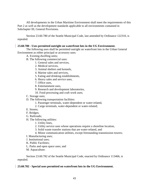All developments in the Urban Maritime Environment shall meet the requirements of this Part 2 as well as the development standards applicable to all environments contained in Subchapter III, General Provisions.

Section 23.60.780 of the Seattle Municipal Code, last amended by Ordinance 122310, is repealed.

#### **[23.60.780](javascript:void(0)) - Uses permitted outright on waterfront lots in the UG Environment.**

The following uses shall be permitted outright on waterfront lots in the Urban General Environment as either principal or accessory uses:

- A. Existing dwelling units;
- B. The following commercial uses:
	- 1. General sales and services,
		- 2. Medical services,
		- 3. Animal shelters and kennels,
		- 4. Marine sales and services,
		- 5. Eating and drinking establishments,
		- 6. Heavy sales and service uses,
		- 7. Office uses,
		- 8. Entertainment uses,
		- 9. Research and development laboratories,
		- 10. Food processing and craft work uses;
- C. Storage uses;
- D. The following transportation facilities:
	- 1. Passenger terminals, water-dependent or water-related,
	- 2. Cargo terminals, water-dependent or water-related;
- E. Streets;
- F. Bridges;
- G. Railroads;
- H. The following utilities:
	- 1. Utility lines,
	- 2. Utility service uses whose operations require a shoreline location,
	- 3. Solid waste transfer stations that are water-related, and
	- 4. Minor communication utilities, except freestanding transmission towers;
- I. Manufacturing uses;
- J. Institutional uses;
- K. Public Facilities;
- L. Parks and open space uses; and
- M. Aquaculture.

Section 23.60.782 of the Seattle Municipal Code, enacted by Ordinance 113466, is repealed.

## **[23.60.782](javascript:void(0)) - Special uses permitted on waterfront lots in the UG Environment.**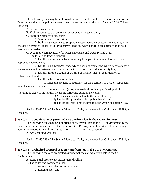The following uses may be authorized on waterfront lots in the UG Environment by the Director as either principal or accessory uses if the special use criteria in Section 23.60.032 are satisfied:

A. Airports, water-based;

B. High-impact uses that are water-dependent or water-related;

C. Shoreline protective structures:

1. Natural beach protection,

2. Bulkheads necessary to support a water-dependent or water-related use, or to enclose a permitted landfill area, or to prevent erosion, when natural beach protection is not a practical alternative;

C. Dredging when necessary for water-dependent and water-related uses;

D. The following types of landfill:

1. Landfill on dry land where necessary for a permitted use and as part of an approved development,

2. Landfill on submerged lands which does not create land where necessary for a water-dependent or water-related use or for the installation of a bridge or utility line,

3. Landfill for the creation of wildlife or fisheries habitat as mitigation or enhancement; and

4. Landfill which creates dry land:

a. When the dry land is necessary for the operation of a water-dependent or water-related use, and

b. If more than two (2) square yards of dry land per lineal yard of shoreline is created, the landfill meets the following additional criteria:

(1) No reasonable alternative to the landfill exists,

(2) The landfill provides a clear public benefit, and

(3) The landfill site is not located in Lake Union or Portage Bay.

Section 23.60.784 of the Seattle Municipal Code, last amended by Ordinance 118793, is repealed.

## **[23.60.784](javascript:void(0)) - Conditional uses permitted on waterfront lots in the UG Environment.**

The following uses may be authorized on waterfront lots in the UG Environment by the Director, with the concurrence of the Department of Ecology, as either principal or accessory uses if the criteria for conditional uses in WAC 173-27-160 are satisfied:

A. Artist studio/dwellings.

Section 23.60.786 of the Seattle Municipal Code, last amended by Ordinance 122310, is repealed.

## **[23.60.786](javascript:void(0)) - Prohibited principal uses on waterfront lots in the UG Environment.**

The following uses are prohibited as principal uses on waterfront lots in the UG Environment:

A. Residential uses except artist studio/dwellings;

B. The following commercial uses:

1. Automotive sales and service uses,

2. Lodging uses, and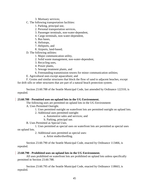- 3. Mortuary services;
- C. The following transportation facilities:
	- 1. Parking, principal use,
	- 2. Personal transportation services,
	- 3. Passenger terminals, non-water-dependent,
	- 4. Cargo terminals, non-water-dependent,
	- 5. Bus bases,
	- 6. Helistops,
	- 7. Heliports, and
	- 8. Airports, land-based;
- D. The following utilities:
	- 1. Major communication utility,
	- 2. Solid waste management, non-water-dependent,
	- 3. Recycling uses,
	- 4. Power plants,
	- 5. Sewage treatment plants, and
	- 6. Freestanding transmission towers for minor communication utilities;
- E. Agricultural uses except aquaculture; and

F. Groins and similar structures that block the flow of sand to adjacent beaches, except for drift sills or other structures that are part of a natural beach protection system.

Section 23.60.788 of the Seattle Municipal Code, last amended by Ordinance 122310, is repealed.

# **[23.60.788](javascript:void(0)) - Permitted uses on upland lots in the UG Environment.**

The following uses are permitted on upland lots in the UG Environment:

- A. Uses Permitted Outright.
	- 1. Uses permitted outright on waterfront lots are permitted outright on upland lots.
	- 2. Additional uses permitted outright:
		- a. Automotive sales and services; and
		- b. Parking, principal use.
- B. Uses Permitted as Special Uses.

1. Uses permitted as special uses on waterfront lots are permitted as special uses on upland lots.

2. Additional uses permitted as special uses:

a. Artist studio/dwelling.

Section 23.60.790 of the Seattle Municipal Code, enacted by Ordinance 113466, is repealed.

# **[23.60.790](javascript:void(0)) - Prohibited uses on upland lots in the UG Environment.**

All uses prohibited on waterfront lots are prohibited on upland lots unless specifically permitted in Section 23.60.788.

Section 23.60.795 of the Seattle Municipal Code, enacted by Ordinance 118663, is repealed.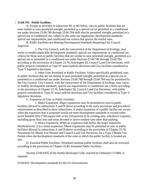#### **[23.60.795](javascript:void(0)) - Public facilities.**

A. Except as provided in subsection B1 or B2 below, uses in public facilities that are most similar to uses permitted outright, permitted as a special use or permitted as a conditional use under Sections 23.60.780 through 23.60.784 shall also be permitted outright, permitted as a special use or conditional use, subject to the same use regulations, development standards, special use requirements, and conditional use criteria that govern the similar uses.

B. Public Facilities not Meeting Development Standards Requiring City Council Approval.

1. The City Council, with the concurrence of the Department of Ecology, may waive or modify applicable development standards, special use requirements or conditional use criteria for those uses in public facilities that are similar to uses permitted outright, permitted as a special use or permitted as a conditional use under Sections 23.60.780 through 23.60.784 according to the provisions of Chapter 23.76, Subchapter III, Council Land Use Decisions, with public projects considered as Type IV quasi-judicial decisions and City facilities considered as Type V legislative decisions.

2. Other Uses Permitted in Public Facilities. Unless specifically prohibited, uses in public facilities that are not similar to uses permitted outright, permitted as a special use or permitted as a conditional use under Sections 23.60.780 through 23.60.784 may be permitted by the City Council. City Council, with the concurrence of the Department of Ecology, may waive or modify development standards, special use requirements or conditional use criteria according to the provisions of Chapter 23.76, Subchapter III, Council Land Use Decisions, with public projects considered as Type IV quasi-judicial decisions and City facilities considered as Type V legislative decisions.

C. Expansion of Uses in Public Facilities.

1. Major Expansion. Major expansions may be permitted to uses in public facilities allowed in subsections A and B above according to the same provisions and procedural requirements as described in these subsections. A major expansion of a public facility use occurs when the expansion that is proposed would not meet development standards or exceed either seven hundred fifty (750) square feet or ten (10) percent of its existing area, whichever is greater, including gross floor area and areas devoted to active outdoor uses other than parking.

2. Minor Expansion. When an expansion falls below the major expansion threshold level, it is a minor expansion. Minor expansions may be permitted to uses in public facilities allowed in subsections A and B above according to the provisions of Chapter 23.76, Procedures for Master Use Permits and Council Land Use Decisions, for a Type I Master Use Permit when the development standards of the zone in which the public facility is located are met.

D. Essential Public Facilities. Permitted essential public facilities shall also be reviewed according to the provisions of Chapter 23.80, Essential Public Facilities.

Section 23.60.8105 of the Seattle Municipal Code, enacted by Ordinance 113466, is repealed.

23.60.810 Development standards for the UG Environment.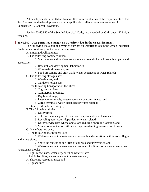All developments in the Urban General Environment shall meet the requirements of this Part 2 as well as the development standards applicable to all environments contained in Subchapter III, General Provisions.

Section 23.60.840 of the Seattle Municipal Code, last amended by Ordinance 122310, is repealed.

# **[23.60.840](javascript:void(0)) - Uses permitted outright on waterfront lots in the UI Environment.**

The following uses shall be permitted outright on waterfront lots in the Urban Industrial Environment as either principal or accessory uses:

A. Existing dwelling units;

B. The following commercial uses:

1. Marine sales and services except sale and rental of small boats, boat parts and

accessories,

- 2. Research and development laboratories,
- 3. Wholesale showrooms, and
- 4. Food processing and craft work, water-dependent or water-related;
- C. The following storage uses:
	- 1. Warehouses, and
	- 2. Outdoor storage uses;

D. The following transportation facilities:

- 1. Tugboat services,
- 2. Commercial moorage,
- 3. Dry boat storage,
- 4. Passenger terminals, water-dependent or water-related, and
- 5. Cargo terminals, water-dependent or water-related;
- E. Streets, railroads and bridges;
- F. The following utilities:
	- 1. Utility lines,
	- 2. Solid waste management uses, water-dependent or water-related,
	- 3. Recycling uses, water-dependent or water-related,
	- 4. Utility service uses whose operations require a shoreline location, and
	- 5. Minor communication utilities, except freestanding transmission towers;
- G. Manufacturing uses;
- H. The following institutional uses:

1. Water-dependent or water-related research and education facilities of colleges and universities,

2. Shoreline recreation facilities of colleges and universities, and

3. Water-dependent or water-related colleges, institutes for advanced study, and vocational schools;

I. High-impact uses, water-dependent or water-related;

- J. Public facilities, water-dependent or water-related;
- K. Shoreline recreation uses; and
- L. Aquaculture.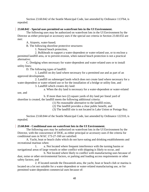Section 23.60.842 of the Seattle Municipal Code, last amended by Ordinance 113764, is repealed.

# **[23.60.842](javascript:void(0)) - Special uses permitted on waterfront lots in the UI Environment.**

The following uses may be authorized on waterfront lots in the UI Environment by the Director as either principal or accessory uses if the special use criteria in Section 23.60.032 are met:

A. Airports, water-based;

B. The following shoreline protective structures:

1. Natural beach protection,

2. Bulkheads to support a water-dependent or water-related use, or to enclose a permitted landfill area, or to prevent erosion, when natural beach protection is not a practical alternative;

C. Dredging when necessary for water-dependent and water-related uses or to install utility lines;

D. The following types of landfill:

1. Landfill on dry land where necessary for a permitted use and as part of an approved development,

2. Landfill on submerged lands which does not create land where necessary for a water-dependent or water-related use or for the installation of a bridge or utility line, and

3. Landfill which creates dry land:

a. When the dry land is necessary for a water-dependent or water-related

use, and

b. If more than two (2) square yards of dry land per lineal yard of shoreline is created, the landfill meets the following additional criteria:

- (1) No reasonable alternative to the landfill exists,
- (2) The landfill provides a clear public benefit, and
- (3) The landfill site is not located in Lake Union or Portage Bay.

Section 23.60.844 of the Seattle Municipal Code, last amended by Ordinance 122310, is repealed.

## **[23.60.844](javascript:void(0)) - Conditional uses on waterfront lots in the UI Environment.**

The following uses may be authorized on waterfront lots in the UI Environment by the Director, with the concurrence of DOE, as either principal or accessory uses if the criteria for conditional uses in WAC 173-27-160 are satisfied:

A. Yacht, boat or beach clubs which do not have eating and drinking establishments and recreational marinas when:

1. a. Not located where frequent interference with the turning basins or navigational areas of large vessels or other conflict with shipping is likely to occur, and

b. Not located where likely to conflict with manufacturing uses because of dust, noise or other environmental factors, or parking and loading access requirements or other safety factors; and

2. If located outside the Duwamish area, the yacht, boat or beach club or marina is located on a lot not suitable for a water-dependent or water-related manufacturing use, or for permitted water-dependent commercial uses because of: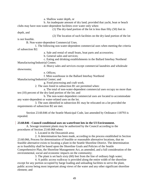a. Shallow water depth, or b. An inadequate amount of dry land; provided that yacht, boat or beach clubs may have non-water-dependent facilities over water only when:

(1) The dry-land portion of the lot is less than fifty (50) feet in

depth, and

(2) The location of such facilities on the dry-land portion of the lot

is not feasible.

B. Non-water-dependent Commercial Uses.

1. The following non-water-dependent commercial uses when meeting the criteria of subsection B2:

a. Sale and rental of small boats, boat parts and accessories;

b. General sales and services;

c. Eating and drinking establishments in the Ballard Interbay Northend Manufacturing/Industrial Center;

d. Heavy sales and services except commercial laundries and wholesale

showrooms;

e. Offices;

f. Mini-warehouse in the Ballard Interbay Northend

Manufacturing/Industrial Center; and

g. Food processing and craft work.

2. The uses listed in subsection B1 are permitted when:

a. The total of non-water-dependent commercial uses occupy no more than ten (10) percent of the dry-land portion of the lot; and

b. The non-water-dependent commercial uses are located to accommodate any water-dependent or water-related uses on the lot.

3. The uses identified in subsection B1 may be relocated on a lot provided the requirements of subsection B2 are met.

Section 23.60.846 of the Seattle Municipal Code, last amended by Ordinance 118793 is repealed.

## **[23.60.846](javascript:void(0)) - Council conditional uses on waterfront lots in the UI Environment.**

A. Sewage treatment plants may be authorized by the Council according to the procedures of Section 23.60.068 when:

1. Located in the Duwamish area;

2. A determination has been made, according to the process established in Section 23.60.066, Process for determination of feasible or reasonable alternative locations, that no feasible alternative exists to locating a plant in the Seattle Shoreline District. The determination as to feasibility shall be based upon the Shoreline Goals and Policies of the Seattle Comprehensive Plan, the Shoreline Management Act, as amended, and a full consideration of the environmental, social and economic impacts on the community;

3. The plant is set back sixty (60) feet from the line of ordinary high water;

4. A public access walkway is provided along the entire width of the shoreline except for any portion occupied by barge loading and unloading facilities to serve the plant, public access being most important along views of the water and any other significant shoreline element; and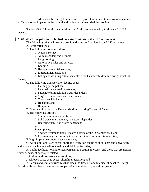5. All reasonable mitigation measures to protect views and to control odors, noise, traffic and other impacts on the natural and built environment shall be provided.

Section 23.60.848 of the Seattle Municipal Code, last amended by Ordinance 122310, is repealed.

## **[23.60.848](javascript:void(0)) - Principal uses prohibited on waterfront lots in the UI Environment.**

The following principal uses are prohibited on waterfront lots in the UI Environment:

- A. Residential uses;
- B. The following commercial uses:
	- 1. Medical services,
	- 2. Animal shelters and kennels,
	- 3. Pet grooming,
	- 4. Automotive sales and service,
	- 5. Lodging,
	- 6. Heavy commercial services,
	- 7. Entertainment uses, and
	- 8. Eating and drinking establishments in the Duwamish Manufacturing/Industrial

## Center;

C. The following transportation facility uses:

- 1. Parking, principal use,
- 2. Personal transportation services,
- 3. Passenger terminal, non-water-dependent,
- 4. Cargo terminal, non-water-dependent,
- 5. Transit vehicle bases,
- 6. Helistops, and
- 7. Heliports;
- D. Mini-warehouses in the Duwamish Manufacturing/Industrial Center;
- E. The following utilities:
	- 1. Major communication utilities,
	- 2. Solid waste management, non-water-dependent,
	- 3. Recycling uses, non-water-dependent,
	- 4.

Power plants,

- 5. Sewage treatment plants, located outside of the Duwamish area, and
- 6. Freestanding transmission towers for minor communication utilities;

F. High-impact uses, non-water-dependent;

G. All institutional uses except shoreline recreation facilities of colleges and universities and boat and yacht clubs without eating and drinking facilities;

H. Public facilities not authorized pursuant to Section 23.60.854 and those that are neither water-dependent nor water-related;

I. Agricultural uses except aquaculture;

J. All open space uses except shoreline recreation; and

K. Groins and similar structures that block the flow of sand to adjacent beaches, except for drift sills or other structures that are part of a natural beach protection system.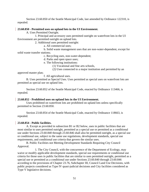Section 23.60.850 of the Seattle Municipal Code, last amended by Ordinance 122310, is repealed.

## **[23.60.850](javascript:void(0)) - Permitted uses on upland lots in the UI Environment.**

A. Uses Permitted Outright.

1. Principal and accessory uses permitted outright on waterfront lots in the UI Environment are permitted outright on upland lots.

2. Additional uses permitted outright:

a. All commercial uses;

b. Solid waste management uses that are non-water-dependent, except for solid waste transfer stations;

c. Recycling uses, non-water-dependent;

d. Parks and open space uses;

e. The following institutions:

(1) Vocational and fine arts schools,

(2) Uses connected to a major institution and permitted by an

approved master plan;

f. All agricultural uses.

B. Uses permitted as Special Uses. Uses permitted as special uses on waterfront lots are permitted as special use on upland lots.

Section 23.60.852 of the Seattle Municipal Code, enacted by Ordinance 113466, is repealed.

# **[23.60.852](javascript:void(0)) - Prohibited uses on upland lots in the UI Environment.**

Uses prohibited on waterfront lots are prohibited on upland lots unless specifically permitted in Section 23.60.850.

Section 23.60.854 of the Seattle Municipal Code, enacted by Ordinance 118663, is repealed.

# **[23.60.854](javascript:void(0)) - Public facilities.**

A. Except as provided in subsection B1 or B2 below, uses in public facilities that are most similar to uses permitted outright, permitted as a special use or permitted as a conditional use under Sections 23.60.840 through 23.60.846 shall also be permitted outright, as a special use or conditional use, subject to the same use regulations, development standards, special use requirements, and conditional use criteria that govern the similar uses.

B. Public Facilities not Meeting Development Standards Requiring City Council Approval.

1. The City Council, with the concurrence of the Department of Ecology, may waive or modify applicable development standards, special use requirements or conditional use criteria for those uses in public facilities that are similar to uses permitted outright, permitted as a special use or permitted as a conditional use under Sections 23.60.840 through 23.60.846 according to the provisions of Chapter 23.76, Subchapter III, Council Land Use Decisions, with public projects considered as Type IV quasi-judicial decisions and City facilities considered as Type V legislative decisions.